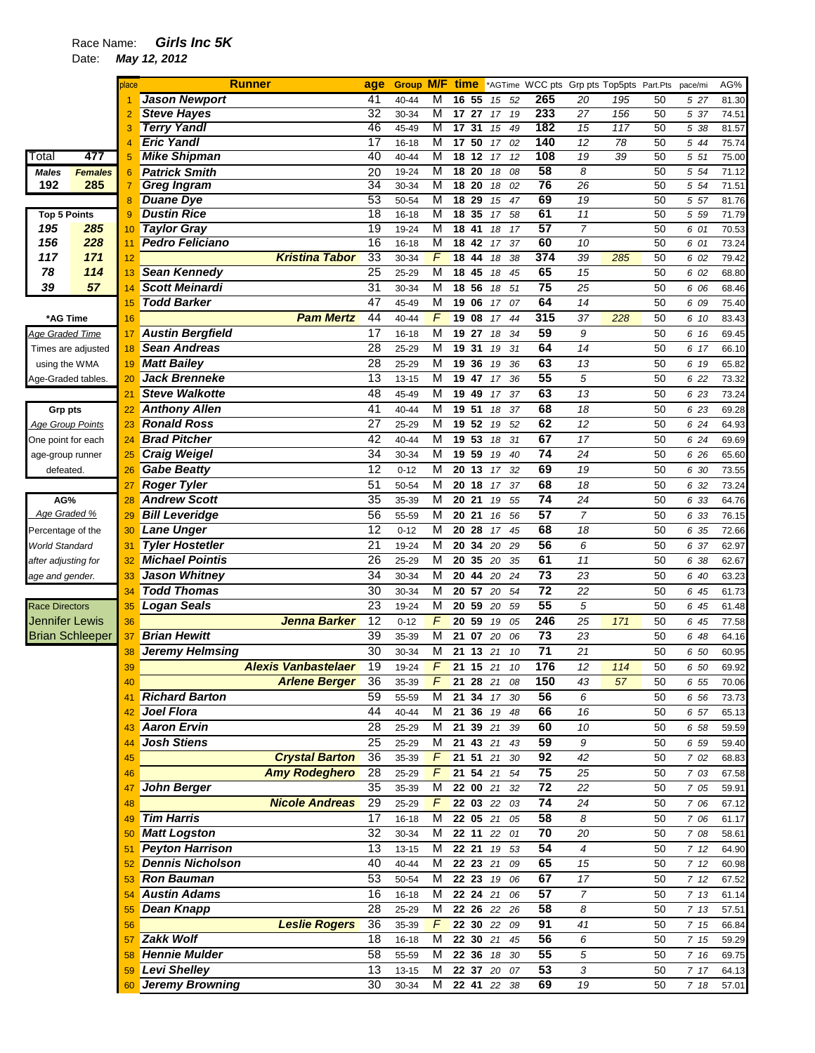## Race Name: *Girls Inc 5K*

Date: *May 12, 2012* 

|                            |                        | place    | <b>Runner</b>                                      | age             | <b>Group M/F</b>   |                | time                               |                                             | *AGTime WCC pts Grp pts Top5pts Part.Pts |                 |                 |          | pace/mi       | AG%            |
|----------------------------|------------------------|----------|----------------------------------------------------|-----------------|--------------------|----------------|------------------------------------|---------------------------------------------|------------------------------------------|-----------------|-----------------|----------|---------------|----------------|
|                            |                        |          | <b>Jason Newport</b>                               | 41              | 40-44              | M              | 16 55                              | 52<br>15                                    | 265                                      | 20              | 195             | 50       | 5 27          | 81.30          |
|                            |                        |          | <b>Steve Hayes</b>                                 | $\overline{32}$ | 30-34              | M              | 17 27                              | 17<br>19                                    | 233                                      | 27              | 156             | 50       | 5 37          | 74.51          |
|                            |                        |          | <b>Terry Yandl</b>                                 | 46              | 45-49              | M              | 17<br>31                           | 15<br>49                                    | 182                                      | 15              | 117             | 50       | 5 38          | 81.57          |
|                            |                        |          | <b>Eric Yandl</b>                                  | 17              | $16 - 18$          | M              | $\overline{17}$<br>50              | 02<br>17                                    | 140                                      | $\overline{12}$ | $\overline{78}$ | 50       | 5 44          | 75.74          |
| Total                      | 477                    | 5        | <b>Mike Shipman</b>                                | 40              | 40-44              | M              | $\overline{18}$<br>$\overline{12}$ | 17<br>12                                    | 108                                      | 19              | 39              | 50       | 5 51          | 75.00          |
| <b>Males</b>               | <b>Females</b>         | 6        | <b>Patrick Smith</b>                               | 20              | 19-24              | M              | $\overline{18}$<br>20              | 18<br>08                                    | 58                                       | 8               |                 | 50       | 5 54          | 71.12          |
| 192                        | 285                    | 7        | <b>Greg Ingram</b>                                 | $\overline{34}$ | 30-34              | M              | 18 20                              | 02<br>18                                    | 76                                       | 26              |                 | 50       | 5 54          | 71.51          |
|                            |                        | 8        | <b>Duane Dye</b><br><b>Dustin Rice</b>             | 53<br>18        | 50-54              | M<br>M         | 18<br>29<br>35<br>18               | 15<br>47<br>58                              | 69<br>61                                 | 19<br>11        |                 | 50<br>50 | 5 57          | 81.76<br>71.79 |
| <b>Top 5 Points</b><br>195 | 285                    | 9<br>10  | <b>Taylor Gray</b>                                 | 19              | $16 - 18$<br>19-24 | M              | 18<br>41                           | 17<br>17<br>18                              | 57                                       | $\overline{7}$  |                 | 50       | 5 5 9<br>6 01 | 70.53          |
| 156                        | 228                    | 11       | <b>Pedro Feliciano</b>                             | 16              | $16 - 18$          | M              | $\overline{18}$<br>42              | 37<br>17                                    | 60                                       | 10              |                 | 50       | 6 01          | 73.24          |
| 117                        | 171                    | 12       | <b>Kristina Tabor</b>                              | 33              | 30-34              | F              | 18 44                              | 18<br>38                                    | 374                                      | 39              | 285             | 50       | 6 02          | 79.42          |
| 78                         | 114                    | 13       | <b>Sean Kennedy</b>                                | 25              | 25-29              | M              | 18<br>45                           | 18<br>45                                    | 65                                       | 15              |                 | 50       | 6 02          | 68.80          |
| 39                         | 57                     | 14       | <b>Scott Meinardi</b>                              | 31              | 30-34              | M              | 18 56                              | 51<br>18                                    | $\overline{75}$                          | 25              |                 | 50       | 6 06          | 68.46          |
|                            |                        | 15       | <b>Todd Barker</b>                                 | 47              | 45-49              | M              | 19 06                              | 17<br>07                                    | 64                                       | 14              |                 | 50       | 6 09          | 75.40          |
| *AG Time                   |                        | 16       | <b>Pam Mertz</b>                                   | 44              | 40-44              | F              | 19 08                              | 17<br>44                                    | 315                                      | 37              | 228             | 50       | 6 10          | 83.43          |
| Age Graded Time            |                        | 17       | <b>Austin Bergfield</b>                            | 17              | 16-18              | $\overline{M}$ | 19 27                              | 34<br>18                                    | 59                                       | 9               |                 | 50       | 6 16          | 69.45          |
| Times are adjusted         |                        | 18       | <b>Sean Andreas</b>                                | 28              | 25-29              | M              | 31<br>19                           | 19<br>31                                    | 64                                       | 14              |                 | 50       | 6 17          | 66.10          |
| using the WMA              |                        | 19       | <b>Matt Bailey</b>                                 | 28              | 25-29              | M              | 19<br>36                           | 36<br>19                                    | 63                                       | 13              |                 | 50       | 6 19          | 65.82          |
| Age-Graded tables.         |                        | 20       | <b>Jack Brenneke</b>                               | 13              | 13-15              | M              | 19 47                              | 17<br>36                                    | 55                                       | 5               |                 | 50       | 6 22          | 73.32          |
|                            |                        | 21       | <b>Steve Walkotte</b>                              | 48              | 45-49              | M              | 19 49                              | 37<br>17                                    | 63                                       | 13              |                 | 50       | 6 23          | 73.24          |
| <b>Grp pts</b>             |                        | 22       | <b>Anthony Allen</b>                               | 41              | 40-44              | M              | 19 51                              | 18<br>37                                    | 68                                       | 18              |                 | 50       | 6 23          | 69.28          |
| <b>Age Group Points</b>    |                        | 23       | <b>Ronald Ross</b>                                 | 27              | 25-29              | M              | 19 52                              | 52<br>19                                    | 62                                       | 12              |                 | 50       | 6 24          | 64.93          |
| One point for each         |                        | 24       | <b>Brad Pitcher</b>                                | 42              | 40-44              | M              | 19 53                              | 31<br>18                                    | 67                                       | 17              |                 | 50       | 6 24          | 69.69          |
| age-group runner           |                        | 25       | <b>Craig Weigel</b>                                | 34              | 30-34              | M              | 19 59                              | 40<br>19                                    | 74                                       | 24              |                 | 50       | 6 26          | 65.60          |
| defeated.                  |                        | 26       | <b>Gabe Beatty</b>                                 | 12              | $0 - 12$           | M              | 20 13                              | 32<br>17                                    | 69                                       | 19              |                 | 50       | 6 30          | 73.55          |
|                            |                        | 27       | <b>Roger Tyler</b>                                 | 51              | 50-54              | M              | 20 18                              | 37<br>17                                    | 68                                       | 18              |                 | 50       | 6 32          | 73.24          |
| AG%                        |                        | 28       | <b>Andrew Scott</b>                                | 35              | 35-39              | M              | 20 21                              | 55<br>19                                    | 74                                       | 24              |                 | 50       | 6 33          | 64.76          |
| Age Graded %               |                        | 29       | <b>Bill Leveridge</b>                              | 56              | 55-59              | M              | 20 21                              | 56<br>16                                    | $\overline{57}$                          | $\overline{7}$  |                 | 50       | 6 33          | 76.15          |
| Percentage of the          |                        | 30       | Lane Unger                                         | 12              | $0 - 12$           | M              | 20 28                              | 17<br>45                                    | 68                                       | 18              |                 | 50       | 6 35          | 72.66          |
| World Standard             |                        | 31       | <b>Tyler Hostetler</b>                             | 21              | 19-24              | M              | 34<br>20                           | 20<br>29                                    | 56                                       | 6               |                 | 50       | 6 37          | 62.97          |
| after adjusting for        |                        | 32       | <b>Michael Pointis</b>                             | 26              | 25-29              | M              | 20 35                              | 20<br>35                                    | 61                                       | 11              |                 | 50       | 6 38          | 62.67          |
| age and gender.            |                        | 33       | <b>Jason Whitney</b>                               | 34              | 30-34              | M              | 20<br>44                           | 24<br>20                                    | 73                                       | 23              |                 | 50       | 6 40          | 63.23          |
|                            |                        | 34       | <b>Todd Thomas</b>                                 | 30              | 30-34              | M              | 20 57                              | 20<br>54                                    | $\overline{72}$                          | 22              |                 | 50       | 6 45          | 61.73          |
| <b>Race Directors</b>      |                        | 35       | <b>Logan Seals</b>                                 | 23              | 19-24              | M              | 20 59                              | 20<br>59                                    | 55                                       | 5               |                 | 50       | 6 45          | 61.48          |
| <b>Jennifer Lewis</b>      |                        | 36       | <b>Jenna Barker</b>                                | 12              | $0 - 12$           | F              | 59<br>20                           | 05<br>19                                    | 246                                      | 25              | 171             | 50       | 6 45          | 77.58          |
|                            | <b>Brian Schleeper</b> | 37       | <b>Brian Hewitt</b>                                | 39              | 35-39              | $\overline{M}$ | 21<br>07                           | 20<br>06                                    | 73                                       | 23              |                 | 50       | 6 48          | 64.16          |
|                            |                        | 38       | <b>Jeremy Helmsing</b>                             | 30              | 30-34              | M<br>F         | 21<br>13                           | 10<br>21                                    | $\overline{71}$                          | 21              |                 | 50       | 6 50          | 60.95          |
|                            |                        | 39       | <b>Alexis Vanbastelaer</b><br><b>Arlene Berger</b> | 19              | 19-24              |                | 21<br>15                           | 21<br>10                                    | 176                                      | 12              | 114             | 50       | 6 50          | 69.92          |
|                            |                        | 40       | <b>Richard Barton</b>                              | 36<br>59        | 35-39              | F<br>M         | 21 28 21                           | 08<br>$\overline{21}$ 34 $\overline{17}$ 30 | 150<br>56                                | 43<br>6         | 57              | 50       | 6 55          | 70.06          |
|                            |                        | 41       | Joel Flora                                         | 44              | 55-59<br>40-44     | М              |                                    | 21 36 19 48                                 | 66                                       | 16              |                 | 50       | 6 56<br>6 57  | 73.73          |
|                            |                        | 42<br>43 | <b>Aaron Ervin</b>                                 | 28              | 25-29              | м              | 21 39 21                           | 39                                          | 60                                       | 10              |                 | 50<br>50 | 6 58          | 65.13<br>59.59 |
|                            |                        | 44       | <b>Josh Stiens</b>                                 | 25              | 25-29              | M              | 21 43 21                           | 43                                          | 59                                       | 9               |                 | 50       | 6 59          | 59.40          |
|                            |                        | 45       | <b>Crystal Barton</b>                              | $\overline{36}$ | 35-39              | F              | 21 51 21                           | 30                                          | 92                                       | 42              |                 | 50       | 7 02          | 68.83          |
|                            |                        | 46       | <b>Amy Rodeghero</b>                               | 28              | 25-29              | F              | $21$ 54 $21$                       | 54                                          | 75                                       | 25              |                 | 50       | 7 03          | 67.58          |
|                            |                        | 47       | <b>John Berger</b>                                 | $\overline{35}$ | 35-39              | M              | 22 00 21                           | 32                                          | 72                                       | 22              |                 | 50       | 7 05          | 59.91          |
|                            |                        | 48       | <b>Nicole Andreas</b>                              | 29              | 25-29              | F              | 22 03 22                           | 03                                          | $\overline{74}$                          | 24              |                 | 50       | 7 06          | 67.12          |
|                            |                        | 49       | <b>Tim Harris</b>                                  | 17              | $16 - 18$          | M              | 22 05 21                           | 05                                          | 58                                       | 8               |                 | 50       | 7 06          | 61.17          |
|                            |                        | 50       | <b>Matt Logston</b>                                | 32              | 30-34              | M              | 22 11 22                           | 01                                          | 70                                       | 20              |                 | 50       | 7 08          | 58.61          |
|                            |                        | 51       | <b>Peyton Harrison</b>                             | 13              | 13-15              | M              | 22 21                              | 53<br>19                                    | 54                                       | 4               |                 | 50       | 712           | 64.90          |
|                            |                        | 52       | <b>Dennis Nicholson</b>                            | 40              | 40-44              | M              | 22 23 21                           | 09                                          | 65                                       | 15              |                 | 50       | 712           | 60.98          |
|                            |                        | 53       | <b>Ron Bauman</b>                                  | 53              | 50-54              | M              | 22 23 19                           | 06                                          | 67                                       | 17              |                 | 50       | 712           | 67.52          |
|                            |                        | 54       | <b>Austin Adams</b>                                | 16              | $16 - 18$          | M              | 22 24 21                           | 06                                          | 57                                       | $\overline{7}$  |                 | 50       | 7 13          | 61.14          |
|                            |                        | 55       | <b>Dean Knapp</b>                                  | 28              | 25-29              | M              | 22 26 22                           | 26                                          | 58                                       | 8               |                 | 50       | 7 13          | 57.51          |
|                            |                        | 56       | <b>Leslie Rogers</b>                               | $\overline{36}$ | 35-39              | F              | 22 30 22                           | 09                                          | 91                                       | 41              |                 | 50       | 7 15          | 66.84          |
|                            |                        | 57       | Zakk Wolf                                          | 18              | $16 - 18$          | M              | 22 30 21                           | 45                                          | 56                                       | 6               |                 | 50       | 7 15          | 59.29          |
|                            |                        | 58       | <b>Hennie Mulder</b>                               | 58              | 55-59              | м              | 22 36 18                           | 30                                          | 55                                       | 5               |                 | 50       | 7 16          | 69.75          |
|                            |                        | 59       | Levi Shelley                                       | 13              | $13 - 15$          | M              | 22 37 20                           | 07                                          | 53                                       | 3               |                 | 50       | 7 17          | 64.13          |
|                            |                        | 60       | <b>Jeremy Browning</b>                             | 30              | 30-34              | M              | 22 41 22                           | 38                                          | 69                                       | 19              |                 | 50       | 7 18          | 57.01          |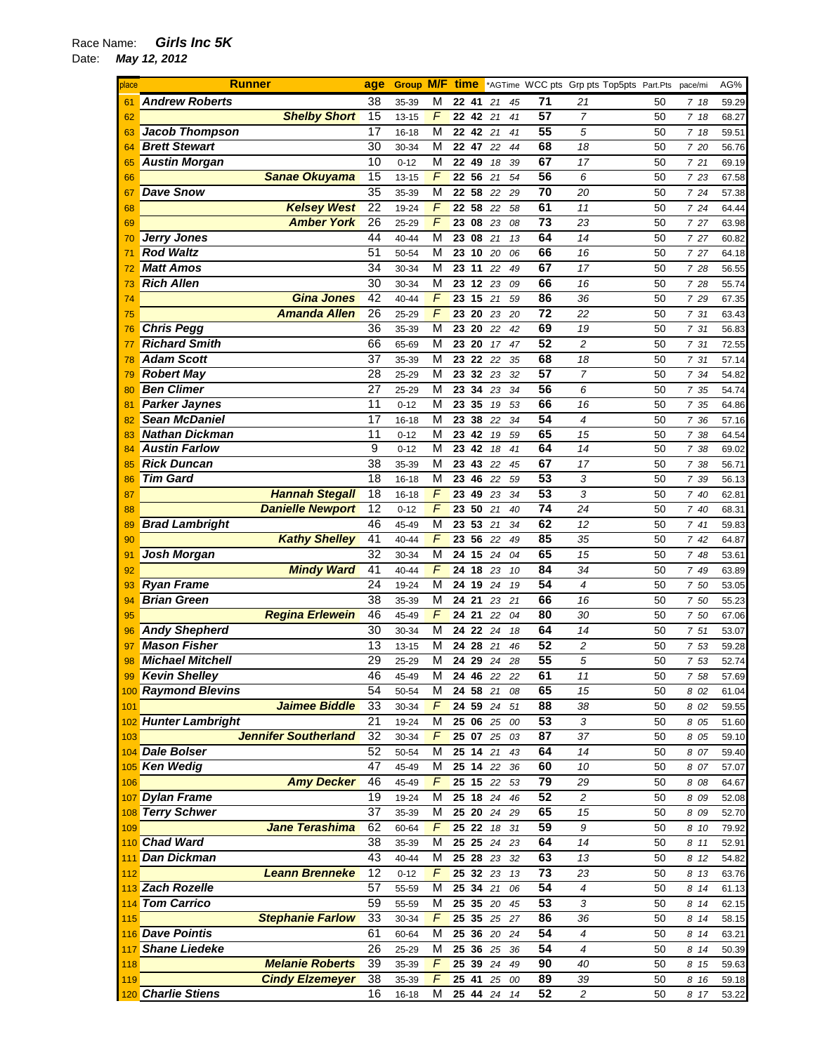## Race Name: *Girls Inc 5K*  Date: *May 12, 2012*

| place | <b>Runner</b>               | age | <b>Group M/F time</b> |                |            |             |    |    |                 |                        | *AGTime WCC pts Grp pts Top5pts Part.Pts |          | pace/mi | AG%   |
|-------|-----------------------------|-----|-----------------------|----------------|------------|-------------|----|----|-----------------|------------------------|------------------------------------------|----------|---------|-------|
| 61    | <b>Andrew Roberts</b>       | 38  | 35-39                 | М              | 22 41      |             | 21 | 45 | 71              | 21                     |                                          | 50       | 718     | 59.29 |
| 62    | <b>Shelby Short</b>         | 15  | 13-15                 | F              | 22 42      |             | 21 | 41 | 57              | $\overline{7}$         |                                          | 50       | 7 18    | 68.27 |
| 63    | <b>Jacob Thompson</b>       | 17  | 16-18                 | M              | 22 42      |             | 21 | 41 | 55              | 5                      |                                          | 50       | 7 18    | 59.51 |
| 64    | <b>Brett Stewart</b>        | 30  | 30-34                 | М              | 22 47      |             | 22 | 44 | 68              | 18                     |                                          | 50       | 7 20    | 56.76 |
| 65    | <b>Austin Morgan</b>        | 10  | $0 - 12$              | M              | 22 49      |             | 18 | 39 | 67              | 17                     |                                          | 50       | 721     | 69.19 |
| 66    | <b>Sanae Okuyama</b>        | 15  | $13 - 15$             | $\sqrt{2}$     | 22 56      |             | 21 | 54 | 56              | 6                      |                                          | 50       | 7 23    | 67.58 |
| 67    | <b>Dave Snow</b>            | 35  | 35-39                 | M              | 22 58      |             | 22 | 29 | 70              | 20                     |                                          | 50       | 7 24    | 57.38 |
| 68    | <b>Kelsey West</b>          | 22  | 19-24                 | F              | 22 58      |             | 22 | 58 | 61              | 11                     |                                          | 50       | 7 24    | 64.44 |
| 69    | <b>Amber York</b>           | 26  | 25-29                 | $\sqrt{2}$     | 23 08      |             | 23 | 08 | 73              | 23                     |                                          | 50       | 7 27    | 63.98 |
| 70    | <b>Jerry Jones</b>          | 44  | 40-44                 | M              |            | 23 08       | 21 | 13 | 64              | 14                     |                                          | 50       | 7 27    | 60.82 |
| 71    | <b>Rod Waltz</b>            | 51  | 50-54                 | M              | 23         | 10          | 20 | 06 | 66              | 16                     |                                          | 50       | 7 27    | 64.18 |
|       | <b>Matt Amos</b>            | 34  | 30-34                 | M              | $23 \; 11$ |             | 22 | 49 | 67              | 17                     |                                          | 50       |         |       |
| 72    | <b>Rich Allen</b>           | 30  |                       | M              | 23 12      |             |    | 09 | 66              | 16                     |                                          | 50       | 7 28    | 56.55 |
| 73    |                             |     | 30-34                 | F              |            |             | 23 |    |                 |                        |                                          |          | 7 28    | 55.74 |
| 74    | <b>Gina Jones</b>           | 42  | 40-44                 |                | 23 15      |             | 21 | 59 | 86              | 36                     |                                          | 50       | 7 29    | 67.35 |
| 75    | <b>Amanda Allen</b>         | 26  | 25-29                 | $\overline{F}$ |            | 23 20       | 23 | 20 | 72              | 22                     |                                          | 50       | 7 31    | 63.43 |
| 76    | <b>Chris Pegg</b>           | 36  | 35-39                 | M              | 23 20      |             | 22 | 42 | 69              | 19                     |                                          | 50       | 7 31    | 56.83 |
| 77    | <b>Richard Smith</b>        | 66  | 65-69                 | M              | 23 20      |             | 17 | 47 | 52              | $\overline{2}$         |                                          | 50       | 7 31    | 72.55 |
| 78    | <b>Adam Scott</b>           | 37  | 35-39                 | M              | 23 22      |             | 22 | 35 | 68              | 18                     |                                          | 50       | 7 31    | 57.14 |
| 79    | <b>Robert May</b>           | 28  | 25-29                 | М              |            | 23 32       | 23 | 32 | 57              | 7                      |                                          | 50       | 7 34    | 54.82 |
| 80    | <b>Ben Climer</b>           | 27  | 25-29                 | М              |            | 23 34       | 23 | 34 | 56              | 6                      |                                          | 50       | 7 35    | 54.74 |
| 81    | <b>Parker Jaynes</b>        | 11  | $0 - 12$              | M              | 23 35      |             | 19 | 53 | 66              | 16                     |                                          | 50       | 7 35    | 64.86 |
| 82    | <b>Sean McDaniel</b>        | 17  | 16-18                 | М              | 23 38      |             | 22 | 34 | 54              | $\overline{4}$         |                                          | 50       | 7 36    | 57.16 |
| 83    | <b>Nathan Dickman</b>       | 11  | $0 - 12$              | M              | 23 42      |             | 19 | 59 | 65              | 15                     |                                          | 50       | 7 38    | 64.54 |
| 84    | <b>Austin Farlow</b>        | 9   | $0 - 12$              | M              | 23 42      |             | 18 | 41 | 64              | 14                     |                                          | 50       | 7 38    | 69.02 |
| 85    | <b>Rick Duncan</b>          | 38  | 35-39                 | M              |            | 23 43       | 22 | 45 | 67              | 17                     |                                          | 50       | 7 38    | 56.71 |
| 86    | <b>Tim Gard</b>             | 18  | $16 - 18$             | M              | 23         | 46          | 22 | 59 | 53              | 3                      |                                          | 50       | 7 39    | 56.13 |
| 87    | <b>Hannah Stegall</b>       | 18  | 16-18                 | F              | 23 49      |             | 23 | 34 | 53              | 3                      |                                          | 50       | 7 40    | 62.81 |
| 88    | <b>Danielle Newport</b>     | 12  | $0 - 12$              | F              |            | 23 50       | 21 | 40 | 74              | 24                     |                                          | 50       | 7 40    | 68.31 |
| 89    | <b>Brad Lambright</b>       | 46  | 45-49                 | M              | 23 53      |             | 21 | 34 | 62              | 12                     |                                          | 50       | 741     | 59.83 |
| 90    | <b>Kathy Shelley</b>        | 41  | 40-44                 | $\sqrt{2}$     | 23 56      |             | 22 | 49 | 85              | 35                     |                                          | 50       | 742     | 64.87 |
| 91    | Josh Morgan                 | 32  | 30-34                 | M              | 24         | 15          | 24 | 04 | 65              | 15                     |                                          | 50       | 7 48    | 53.61 |
| 92    | <b>Mindy Ward</b>           | 41  | 40-44                 | F              | 24 18      |             | 23 | 10 | 84              | 34                     |                                          | 50       | 7 49    | 63.89 |
| 93    | <b>Ryan Frame</b>           | 24  | 19-24                 | M              | 24 19      |             | 24 | 19 | 54              | $\overline{4}$         |                                          | 50       | 7 50    | 53.05 |
| 94    | <b>Brian Green</b>          | 38  | 35-39                 | M              | 24 21      |             | 23 | 21 | 66              | 16                     |                                          | 50       | 7 50    | 55.23 |
| 95    | <b>Regina Erlewein</b>      | 46  | 45-49                 | F              | 24 21      |             | 22 | 04 | 80              | 30                     |                                          | 50       | 7 50    | 67.06 |
| 96    | <b>Andy Shepherd</b>        | 30  | 30-34                 | M              |            | 24 22       | 24 | 18 | 64              | 14                     |                                          | 50       | 7 51    | 53.07 |
| 97    | <b>Mason Fisher</b>         | 13  | $13 - 15$             | М              |            | 24 28       | 21 | 46 | 52              | 2                      |                                          | 50       | 7 53    | 59.28 |
| 98    | <b>Michael Mitchell</b>     | 29  |                       | М              |            | 24 29 24    |    |    | 55              | 5                      |                                          | 50       |         |       |
|       | <b>Kevin Shelley</b>        | 46  | 25-29                 | M              |            |             |    | 28 | 61              |                        |                                          |          | 7 53    | 52.74 |
|       |                             |     | 45-49                 |                |            | 24 46 22    |    | 22 |                 | 11                     |                                          | 50       | 758     | 57.69 |
|       | 100 Raymond Blevins         | 54  | 50-54                 | M              |            | 24 58 21    |    | 08 | 65              | 15                     |                                          | 50       | 8 02    | 61.04 |
| 101   | <b>Jaimee Biddle</b>        | 33  | 30-34                 | F              | 24 59      |             | 24 | 51 | 88              | 38                     |                                          | 50       | 8 02    | 59.55 |
|       | 102 Hunter Lambright        | 21  | 19-24                 | М              |            | 25 06       | 25 | 00 | 53              | 3                      |                                          | 50       | 8 05    | 51.60 |
| 103   | <b>Jennifer Southerland</b> | 32  | 30-34                 | F              |            | 25 07 25    |    | 03 | 87              | 37                     |                                          | 50       | 8 05    | 59.10 |
|       | 104 Dale Bolser             | 52  | 50-54                 | M              |            | 25 14       | 21 | 43 | 64              | 14                     |                                          | 50       | 8 07    | 59.40 |
| 105   | <b>Ken Wedig</b>            | 47  | 45-49                 | М              |            | 25 14       | 22 | 36 | 60              | 10                     |                                          | 50       | 8 07    | 57.07 |
| 106   | <b>Amy Decker</b>           | 46  | 45-49                 | F              |            | 25 15 22    |    | 53 | 79              | 29                     |                                          | 50       | 8 08    | 64.67 |
| 107   | <b>Dylan Frame</b>          | 19  | 19-24                 | M              |            | 25 18 24    |    | 46 | 52              | $\overline{c}$         |                                          | 50       | 8 09    | 52.08 |
| 108   | <b>Terry Schwer</b>         | 37  | 35-39                 | M              |            | 25 20 24    |    | 29 | 65              | 15                     |                                          | 50       | 8 09    | 52.70 |
| 109   | <b>Jane Terashima</b>       | 62  | 60-64                 | F              |            | 25 22 18    |    | 31 | 59              | 9                      |                                          | 50       | 8 10    | 79.92 |
| 110   | <b>Chad Ward</b>            | 38  | 35-39                 | M              |            | 25 25 24    |    | 23 | 64              | 14                     |                                          | 50       | 8 11    | 52.91 |
| 111   | <b>Dan Dickman</b>          | 43  | 40-44                 | M              |            | 25 28 23    |    | 32 | 63              | 13                     |                                          | 50       | 8 12    | 54.82 |
| 112   | <b>Leann Brenneke</b>       | 12  | $0 - 12$              | F              |            | 25 32       | 23 | 13 | 73              | 23                     |                                          | 50       | 8 13    | 63.76 |
|       | 113 Zach Rozelle            | 57  | 55-59                 | М              |            | 25 34 21    |    | 06 | 54              | 4                      |                                          | 50       | 8 14    | 61.13 |
| 114   | <b>Tom Carrico</b>          | 59  | 55-59                 | M              | 25 35      |             | 20 | 45 | 53              | 3                      |                                          | 50       | 8 14    | 62.15 |
| 115   | <b>Stephanie Farlow</b>     | 33  | 30-34                 | F              |            | 25 35       | 25 | 27 | 86              | 36                     |                                          | 50       | 8 14    | 58.15 |
|       | 116 Dave Pointis            | 61  | 60-64                 | M              |            | 25 36       | 20 | 24 | 54              | 4                      |                                          | 50       | 8 14    | 63.21 |
| 117   | <b>Shane Liedeke</b>        | 26  | 25-29                 | M              |            | 25 36       | 25 | 36 | 54              | 4                      |                                          | 50       | 8 14    | 50.39 |
| 118   | <b>Melanie Roberts</b>      | 39  | 35-39                 | F              |            | 25 39 24    |    | 49 | 90              | 40                     |                                          | 50       | 8 15    | 59.63 |
|       | <b>Cindy Elzemeyer</b>      | 38  |                       | F              |            | 25 41 25    |    |    | 89              |                        |                                          |          |         |       |
| 119   | 120 Charlie Stiens          | 16  | 35-39<br>16-18        | М              |            | 25 44 24 14 |    | 00 | $\overline{52}$ | 39<br>$\boldsymbol{2}$ |                                          | 50<br>50 | 8 16    | 59.18 |
|       |                             |     |                       |                |            |             |    |    |                 |                        |                                          |          | 8 17    | 53.22 |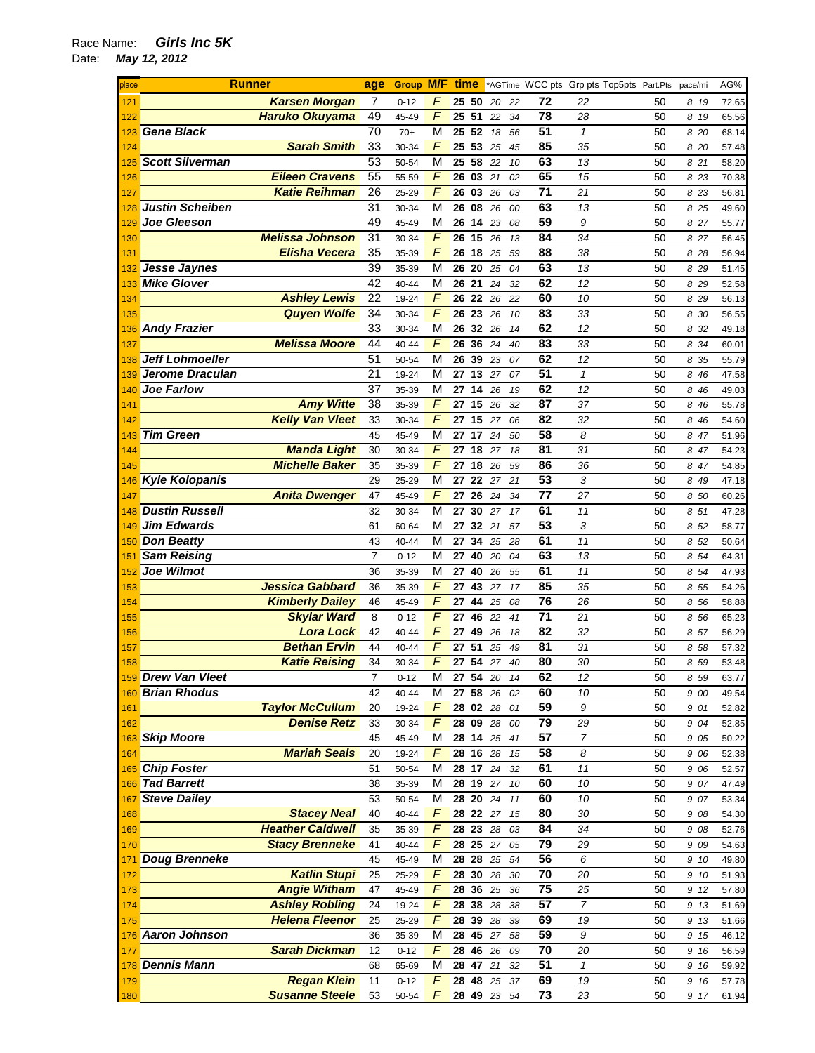| place | <b>Runner</b>          |                         |                 | <b>Group M/F</b> |                |                   |                    |             |    |                 | <b>time</b> *AGTime WCC pts Grp pts Top5pts Part.Pts |    | pace/mi | AG%   |
|-------|------------------------|-------------------------|-----------------|------------------|----------------|-------------------|--------------------|-------------|----|-----------------|------------------------------------------------------|----|---------|-------|
| 121   |                        | <b>Karsen Morgan</b>    | 7               | $0 - 12$         | F              | 25 50             |                    | 20          | 22 | 72              | 22                                                   | 50 | 8 19    | 72.65 |
| 122   |                        | <b>Haruko Okuyama</b>   | 49              | 45-49            | F              | 25 51             |                    | 22          | 34 | 78              | 28                                                   | 50 | 8 19    | 65.56 |
| 123   | <b>Gene Black</b>      |                         | 70              | $70+$            | M              | $25\overline{52}$ |                    | 18          | 56 | 51              | $\mathbf{1}$                                         | 50 | 8 20    | 68.14 |
| 124   |                        | <b>Sarah Smith</b>      | 33              | 30-34            | $\sqrt{2}$     | 25 53             |                    | 25          | 45 | 85              | 35                                                   | 50 | 8 20    | 57.48 |
| 125   | <b>Scott Silverman</b> |                         | 53              | 50-54            | M              | 25 58             |                    | 22          | 10 | 63              | 13                                                   | 50 | 8 21    | 58.20 |
|       |                        | <b>Eileen Cravens</b>   | 55              | 55-59            | $\sqrt{2}$     | $26$ 03 21        |                    |             |    | 65              | 15                                                   | 50 |         |       |
| 126   |                        |                         |                 |                  |                |                   |                    |             | 02 |                 |                                                      |    | 8 23    | 70.38 |
| 127   |                        | <b>Katie Reihman</b>    | 26              | 25-29            | F              | 26                | 03                 | 26          | 03 | 71              | 21                                                   | 50 | 8 23    | 56.81 |
| 128   | <b>Justin Scheiben</b> |                         | 31              | 30-34            | M              | 26 08             |                    | 26          | 00 | 63              | 13                                                   | 50 | 8 25    | 49.60 |
| 129   | Joe Gleeson            |                         | 49              | 45-49            | M              | 26                | 14                 | 23          | 08 | 59              | 9                                                    | 50 | 8 27    | 55.77 |
| 130   |                        | <b>Melissa Johnson</b>  | 31              | 30-34            | F              | 26                | 15                 | 26          | 13 | 84              | 34                                                   | 50 | 8 27    | 56.45 |
| 131   |                        | <b>Elisha Vecera</b>    | 35              | 35-39            | $\sqrt{2}$     | 26                | 18 25              |             | 59 | 88              | 38                                                   | 50 | 8 28    | 56.94 |
| 132   | Jesse Jaynes           |                         | 39              | 35-39            | M              | 26 20             |                    | 25          | 04 | 63              | 13                                                   | 50 | 8 29    | 51.45 |
| 133   | <b>Mike Glover</b>     |                         | 42              | 40-44            | M              | 26                | 21                 | 24          | 32 | 62              | 12                                                   | 50 | 8 2 9   | 52.58 |
| 134   |                        | <b>Ashley Lewis</b>     | 22              | 19-24            | $\overline{F}$ | 26                | 22 26              |             | 22 | 60              | 10                                                   | 50 | 8 29    | 56.13 |
| 135   |                        | <b>Quyen Wolfe</b>      | 34              | 30-34            | $\overline{F}$ | 26                | 23                 | 26          | 10 | 83              | 33                                                   | 50 | 8 30    | 56.55 |
|       | 136 Andy Frazier       |                         | 33              | 30-34            | M              | 26 32 26          |                    |             | 14 | 62              | 12                                                   | 50 | 8 32    | 49.18 |
| 137   |                        | <b>Melissa Moore</b>    | 44              | 40-44            | $\overline{F}$ | 26                | 36                 | 24          | 40 | 83              | 33                                                   | 50 | 8 34    | 60.01 |
| 138   | <b>Jeff Lohmoeller</b> |                         | $\overline{51}$ | 50-54            | М              | 26                | 39                 | 23          | 07 | 62              | 12                                                   | 50 | 8 35    | 55.79 |
| 139   | Jerome Draculan        |                         | 21              | 19-24            | М              | 27 13 27          |                    |             | 07 | 51              | 1                                                    | 50 | 8 46    | 47.58 |
| 140   | <b>Joe Farlow</b>      |                         | $\overline{37}$ | 35-39            | M              | 27 14             |                    | 26          | 19 | 62              | 12                                                   | 50 | 8 46    | 49.03 |
| 141   |                        | <b>Amy Witte</b>        | 38              | 35-39            | $\sqrt{2}$     | 27                | 15                 | 26          | 32 | 87              | 37                                                   | 50 | 8 4 6   | 55.78 |
| 142   |                        | <b>Kelly Van Vleet</b>  | 33              | 30-34            | F              | 27                | 15                 | 27          | 06 | 82              | 32                                                   | 50 | 8 46    | 54.60 |
| 143   | <b>Tim Green</b>       |                         | 45              | 45-49            | M              | 27                | 17                 | 24          | 50 | 58              | 8                                                    | 50 | 8 47    | 51.96 |
|       |                        | <b>Manda Light</b>      | 30              |                  | $\sqrt{2}$     | 27 18             |                    | 27          | 18 | 81              | 31                                                   | 50 |         |       |
| 144   |                        | <b>Michelle Baker</b>   |                 | 30-34            | F              | 27 18             |                    |             |    | 86              |                                                      |    | 8 47    | 54.23 |
| 145   |                        |                         | 35              | 35-39            |                |                   |                    | 26          | 59 |                 | 36                                                   | 50 | 8 47    | 54.85 |
| 146   | <b>Kyle Kolopanis</b>  |                         | 29              | 25-29            | M              | 27 22 27          |                    |             | 21 | 53              | 3                                                    | 50 | 8 49    | 47.18 |
| 147   |                        | <b>Anita Dwenger</b>    | 47              | 45-49            | $\overline{F}$ | 27                | 26                 | 24          | 34 | 77              | 27                                                   | 50 | 8 50    | 60.26 |
|       | <b>Dustin Russell</b>  |                         | 32              | 30-34            | M              | 27                | 30 27              |             | 17 | 61              | 11                                                   | 50 | 8 51    | 47.28 |
| 149   | <b>Jim Edwards</b>     |                         | 61              | 60-64            | М              | 27                | 32 21              |             | 57 | 53              | 3                                                    | 50 | 8 52    | 58.77 |
| 150   | <b>Don Beatty</b>      |                         | 43              | 40-44            | M              | 27                | 34                 | 25          | 28 | 61              | 11                                                   | 50 | 8 52    | 50.64 |
| 151   | <b>Sam Reising</b>     |                         | $\overline{7}$  | $0 - 12$         | М              | 27                | $\overline{40}$ 20 |             | 04 | 63              | 13                                                   | 50 | 8 54    | 64.31 |
| 152   | Joe Wilmot             |                         | 36              | 35-39            | M              | 27                | 40                 | 26          | 55 | 61              | 11                                                   | 50 | 8 54    | 47.93 |
| 153   |                        | <b>Jessica Gabbard</b>  | 36              | 35-39            | $\overline{F}$ | 27                | 43                 | 27          | 17 | 85              | 35                                                   | 50 | 8 55    | 54.26 |
| 154   |                        | <b>Kimberly Dailey</b>  | 46              | 45-49            | $\sqrt{2}$     | 27 44             |                    | 25          | 08 | 76              | 26                                                   | 50 | 8 56    | 58.88 |
| 155   |                        | <b>Skylar Ward</b>      | 8               | $0 - 12$         | $\sqrt{2}$     | 27 46             |                    | 22          | 41 | 71              | 21                                                   | 50 | 8 56    | 65.23 |
| 156   |                        | <b>Lora Lock</b>        | 42              | 40-44            | $\sqrt{2}$     | 27                | 49 26              |             | 18 | 82              | 32                                                   | 50 | 8 57    | 56.29 |
| 157   |                        | <b>Bethan Ervin</b>     | 44              | 40-44            | F              | 27                | 51                 | 25          | 49 | 81              | 31                                                   | 50 | 8 58    | 57.32 |
| 158   |                        | <b>Katie Reising</b>    | 34              | 30-34            | F              | 27 54             |                    | 27          | 40 | 80              | 30                                                   | 50 | 8 59    | 53.48 |
|       | 159 Drew Van Vleet     |                         | 7               | $0 - 12$         | M              | 27 54             |                    | 20          | 14 | 62              | 12                                                   | 50 | 8 5 9   | 63.77 |
|       | 160 Brian Rhodus       |                         | 42              | 40-44            | M              | 27 58 26          |                    |             | 02 | 60              | 10                                                   | 50 | 9 00    | 49.54 |
| 161   |                        | <b>Taylor McCullum</b>  | 20              | 19-24            | F              | 28 02 28          |                    |             | 01 | 59              | 9                                                    | 50 | 9 01    | 52.82 |
| 162   |                        | <b>Denise Retz</b>      | 33              | 30-34            | F              | 28 09 28          |                    |             | 00 | 79              | 29                                                   | 50 | 9 04    | 52.85 |
|       | 163 Skip Moore         |                         | 45              | 45-49            | M              | 28 14             |                    | 25          | 41 | 57              | $\overline{7}$                                       | 50 | 9 05    | 50.22 |
| 164   |                        | <b>Mariah Seals</b>     | 20              | 19-24            | F              | 28 16 28          |                    |             | 15 | 58              | 8                                                    | 50 | 9 06    | 52.38 |
|       | 165 Chip Foster        |                         | 51              | 50-54            | М              | 28 17 24          |                    |             | 32 | 61              | 11                                                   | 50 | 9 06    | 52.57 |
| 166   | <b>Tad Barrett</b>     |                         | 38              | 35-39            | М              | 28 19 27          |                    |             | 10 | 60              | 10                                                   | 50 | 9 07    | 47.49 |
| 167   | <b>Steve Dailey</b>    |                         | 53              | 50-54            | М              | 28 20 24          |                    |             | 11 | 60              | 10                                                   | 50 | 907     | 53.34 |
| 168   |                        | <b>Stacey Neal</b>      | 40              | 40-44            | F              | 28 22 27          |                    |             | 15 | 80              | 30                                                   | 50 | 9 08    | 54.30 |
| 169   |                        | <b>Heather Caldwell</b> | 35              | 35-39            | F              | 28 23 28          |                    |             | 03 | 84              | 34                                                   | 50 | 9 08    | 52.76 |
| 170   |                        | <b>Stacy Brenneke</b>   | 41              | 40-44            | F              | 28 25 27          |                    |             | 05 | 79              | 29                                                   | 50 | 9 0 9   | 54.63 |
| 171   | <b>Doug Brenneke</b>   |                         | 45              | 45-49            | М              | 28 28 25          |                    |             | 54 | 56              | 6                                                    | 50 | 9 10    | 49.80 |
|       |                        | <b>Katlin Stupi</b>     | 25              |                  | F              | 28 30 28          |                    |             |    | 70              | 20                                                   | 50 |         |       |
| 172   |                        | <b>Angie Witham</b>     |                 | 25-29            | F              |                   |                    |             | 30 | 75              |                                                      |    | 9 10    | 51.93 |
| 173   |                        |                         | 47              | 45-49            |                | 28 36 25          |                    |             | 36 |                 | 25                                                   | 50 | 9 12    | 57.80 |
| 174   |                        | <b>Ashley Robling</b>   | 24              | 19-24            | $\sqrt{2}$     | 28 38             |                    | 28          | 38 | 57              | $\boldsymbol{7}$                                     | 50 | 9 13    | 51.69 |
| 175   |                        | <b>Helena Fleenor</b>   | 25              | 25-29            | $\sqrt{2}$     | 28 39 28          |                    |             | 39 | 69              | 19                                                   | 50 | 9 13    | 51.66 |
|       | 176 Aaron Johnson      |                         | 36              | 35-39            | M              | 28 45 27          |                    |             | 58 | 59              | 9                                                    | 50 | 9 15    | 46.12 |
| 177   |                        | <b>Sarah Dickman</b>    | 12              | $0 - 12$         | F              | 28 46 26          |                    |             | 09 | 70              | 20                                                   | 50 | 9 16    | 56.59 |
|       | 178 Dennis Mann        |                         | 68              | 65-69            | М              | 28 47 21          |                    |             | 32 | 51              | $\mathbf{1}$                                         | 50 | 9 16    | 59.92 |
| 179   |                        | <b>Regan Klein</b>      | 11              | $0 - 12$         | F              | 28 48 25          |                    |             | 37 | 69              | 19                                                   | 50 | 9 16    | 57.78 |
| 180   |                        | <b>Susanne Steele</b>   | 53              | 50-54            | $\overline{F}$ |                   |                    | 28 49 23 54 |    | $\overline{73}$ | 23                                                   | 50 | 9 17    | 61.94 |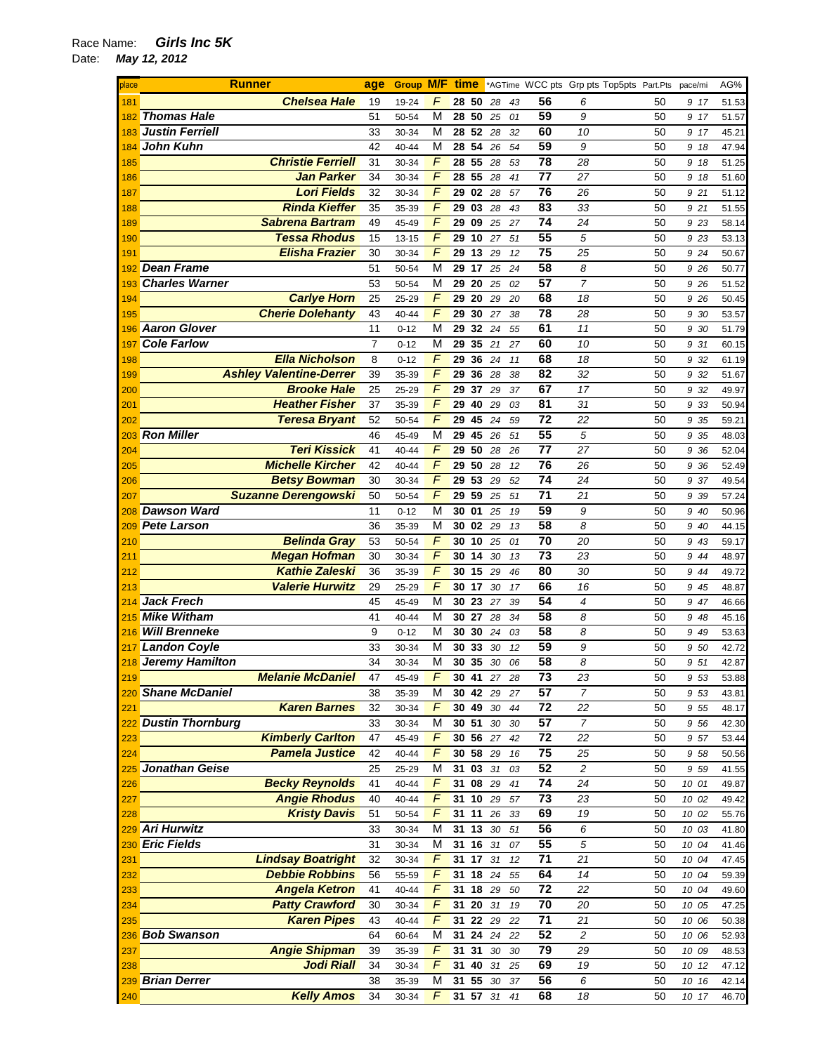| place | <b>Runner</b>                           | age            | <b>Group M/F</b> |                | time     |          |             |                 | *AGTime WCC pts Grp pts Top5pts Part.Pts |    | pace/mi | AG%   |
|-------|-----------------------------------------|----------------|------------------|----------------|----------|----------|-------------|-----------------|------------------------------------------|----|---------|-------|
| 181   | <b>Chelsea Hale</b>                     | 19             | 19-24            | F              | 28 50    | 28       | 43          | 56              | 6                                        | 50 | 9 17    | 51.53 |
| 182   | <b>Thomas Hale</b>                      | 51             | 50-54            | M              | 28       | 50<br>25 | 01          | 59              | 9                                        | 50 | 9 17    | 51.57 |
| 183   | <b>Justin Ferriell</b>                  | 33             | 30-34            | M              | 28 52 28 |          | 32          | 60              | 10                                       | 50 | 9 17    | 45.21 |
| 184   | John Kuhn                               | 42             | 40-44            | M              | 28       | 54<br>26 | 54          | 59              | 9                                        | 50 | 9 18    | 47.94 |
| 185   | <b>Christie Ferriell</b>                | 31             | 30-34            | $\sqrt{2}$     | 28 55    | 28       | 53          | 78              | 28                                       | 50 | 9 18    | 51.25 |
| 186   | <b>Jan Parker</b>                       | 34             | 30-34            | F              | 28 55    | 28       | 41          | 77              | 27                                       | 50 | 9 18    | 51.60 |
| 187   | <b>Lori Fields</b>                      | 32             | 30-34            | F              | 29       | 02<br>28 | 57          | 76              | 26                                       | 50 | 9 21    | 51.12 |
|       | <b>Rinda Kieffer</b>                    | 35             |                  | F              | 29       | 03       | 43          | 83              | 33                                       | 50 |         |       |
| 188   | <b>Sabrena Bartram</b>                  | 49             | 35-39            | F              | 29       | 28<br>09 |             | $\overline{74}$ | 24                                       | 50 | 9 21    | 51.55 |
| 189   |                                         |                | 45-49            |                |          | 25       | 27          |                 |                                          |    | 9 23    | 58.14 |
| 190   | <b>Tessa Rhodus</b>                     | 15             | $13 - 15$        | F              | 29       | 10<br>27 | 51          | 55              | 5                                        | 50 | 9 23    | 53.13 |
| 191   | <b>Elisha Frazier</b>                   | 30             | 30-34            | F              | 29       | 13<br>29 | 12          | $\overline{75}$ | 25                                       | 50 | 9 24    | 50.67 |
| 192   | <b>Dean Frame</b>                       | 51             | 50-54            | M              | 29       | 17<br>25 | 24          | 58              | 8                                        | 50 | 9 26    | 50.77 |
| 193   | <b>Charles Warner</b>                   | 53             | 50-54            | M              | 29       | 20<br>25 | 02          | 57              | $\overline{7}$                           | 50 | 9 26    | 51.52 |
| 194   | <b>Carlye Horn</b>                      | 25             | 25-29            | $\overline{F}$ | 29       | 20<br>29 | 20          | 68              | 18                                       | 50 | 9 26    | 50.45 |
| 195   | <b>Cherie Dolehanty</b>                 | 43             | 40-44            | F              | 29       | 30 27    | 38          | 78              | 28                                       | 50 | 9 30    | 53.57 |
| 196   | <b>Aaron Glover</b>                     | 11             | $0 - 12$         | M              | 29       | 32 24    | 55          | 61              | 11                                       | 50 | 9 30    | 51.79 |
| 197   | <b>Cole Farlow</b>                      | $\overline{7}$ | $0 - 12$         | M              | 29       | 35<br>21 | 27          | 60              | 10                                       | 50 | 9 31    | 60.15 |
| 198   | <b>Ella Nicholson</b>                   | 8              | $0 - 12$         | F              | 29       | 36 24    | 11          | 68              | 18                                       | 50 | 9 32    | 61.19 |
| 199   | <b>Ashley Valentine-Derrer</b>          | 39             | 35-39            | F              | 29       | 36 28    | 38          | 82              | 32                                       | 50 | 9 32    | 51.67 |
| 200   | <b>Brooke Hale</b>                      | 25             | 25-29            | F              | 29       | 37<br>29 | 37          | 67              | 17                                       | 50 | 9 32    | 49.97 |
| 201   | <b>Heather Fisher</b>                   | 37             | 35-39            | F              | 29       | 40<br>29 | 03          | 81              | 31                                       | 50 | 9 33    | 50.94 |
| 202   | <b>Teresa Bryant</b>                    | 52             | 50-54            | F              | 29       | 45<br>24 | 59          | $\overline{72}$ | 22                                       | 50 | 9 35    | 59.21 |
| 203   | <b>Ron Miller</b>                       | 46             | 45-49            | M              | 29       | 45<br>26 | 51          | 55              | 5                                        | 50 | 9 35    | 48.03 |
| 204   | <b>Teri Kissick</b>                     | 41             | 40-44            | $\sqrt{2}$     | 29       | 50<br>28 | 26          | 77              | 27                                       | 50 | 9 36    | 52.04 |
| 205   | <b>Michelle Kircher</b>                 | 42             | 40-44            | F              | 29       | 50<br>28 | 12          | 76              | 26                                       | 50 | 9 36    | 52.49 |
| 206   | <b>Betsy Bowman</b>                     | 30             | 30-34            | F              | 29       | 53<br>29 | 52          | 74              | 24                                       | 50 | 9 37    | 49.54 |
| 207   | <b>Suzanne Derengowski</b>              | 50             | 50-54            | F              | 29       | 59<br>25 | 51          | 71              | 21                                       | 50 | 9 39    | 57.24 |
| 208   | <b>Dawson Ward</b>                      | 11             | $0 - 12$         | M              | 30 01    | 25       | 19          | 59              | 9                                        | 50 | 9 40    | 50.96 |
| 209   | <b>Pete Larson</b>                      | 36             | 35-39            | M              | 30       | 02 29    | 13          | 58              | 8                                        | 50 | 9 40    | 44.15 |
| 210   | <b>Belinda Gray</b>                     | 53             | 50-54            | F              | 30       | 10 25    | 01          | 70              | 20                                       | 50 | 9 43    | 59.17 |
| 211   | <b>Megan Hofman</b>                     | 30             | 30-34            | F              | 30       | 14<br>30 | 13          | $\overline{73}$ | 23                                       | 50 | 9 44    | 48.97 |
|       | <b>Kathie Zaleski</b>                   | 36             | 35-39            | F              | 30       | 15<br>29 | 46          | 80              | 30                                       | 50 | 9 44    | 49.72 |
| 212   | <b>Valerie Hurwitz</b>                  | 29             |                  | $\overline{F}$ | 30       | 17       |             | 66              | 16                                       | 50 |         |       |
| 213   |                                         |                | 25-29            |                |          | 30       | 17          |                 |                                          |    | 9 45    | 48.87 |
| 214   | <b>Jack Frech</b><br><b>Mike Witham</b> | 45             | 45-49            | M              | 30       | 23<br>27 | 39          | 54<br>58        | $\overline{4}$                           | 50 | 9 47    | 46.66 |
| 215   |                                         | 41             | 40-44            | M              | 30 27    | 28       | 34          |                 | 8                                        | 50 | 9 48    | 45.16 |
| 216   | <b>Will Brenneke</b>                    | 9              | $0 - 12$         | M              | 30       | 30 24    | 03          | 58              | 8                                        | 50 | 9 49    | 53.63 |
| 217   | <b>Landon Coyle</b>                     | 33             | 30-34            | M              | 30       | 33<br>30 | 12          | 59              | 9                                        | 50 | 9 50    | 42.72 |
|       | 218 Jeremy Hamilton                     | 34             | 30-34            | M              | 30 35    | 30       | 06          | 58              | 8                                        | 50 | 9 51    | 42.87 |
| 219   | <b>Melanie McDaniel</b>                 | 47             | 45-49            | F              | 30 41    |          | 27<br>28    | 73              | 23                                       | 50 | 953     | 53.88 |
|       | 220 Shane McDaniel                      | 38             | 35-39            | M              | 30 42 29 |          | 27          | 57              | $\overline{7}$                           | 50 | 9 53    | 43.81 |
| 221   | <b>Karen Barnes</b>                     | 32             | 30-34            | F              | 30       | 49<br>30 | 44          | $\overline{72}$ | 22                                       | 50 | 9 55    | 48.17 |
|       | 222 Dustin Thornburg                    | 33             | 30-34            | M              | 30 51    | 30       | 30          | 57              | $\overline{7}$                           | 50 | 9 56    | 42.30 |
| 223   | <b>Kimberly Carlton</b>                 | 47             | 45-49            | $\overline{F}$ | 30 56 27 |          | 42          | 72              | 22                                       | 50 | 9 57    | 53.44 |
| 224   | <b>Pamela Justice</b>                   | 42             | 40-44            | F              | 30 58 29 |          | 16          | 75              | 25                                       | 50 | 9 58    | 50.56 |
|       | 225 Jonathan Geise                      | 25             | 25-29            | M              | 31       | 03 31    | 03          | 52              | 2                                        | 50 | 9 59    | 41.55 |
| 226   | <b>Becky Reynolds</b>                   | 41             | 40-44            | F              | 31 08 29 |          | 41          | 74              | 24                                       | 50 | 10 01   | 49.87 |
| 227   | <b>Angie Rhodus</b>                     | 40             | 40-44            | F              | 31 10 29 |          | 57          | 73              | 23                                       | 50 | 10 02   | 49.42 |
| 228   | <b>Kristy Davis</b>                     | 51             | 50-54            | F              | 31 11    | 26       | 33          | 69              | 19                                       | 50 | 10 02   | 55.76 |
|       | 229 Ari Hurwitz                         | 33             | 30-34            | M              | 31       | 13<br>30 | 51          | 56              | 6                                        | 50 | 10 03   | 41.80 |
|       | 230 Eric Fields                         | 31             | 30-34            | M              | 31       | 16 31    | 07          | 55              | 5                                        | 50 | 10 04   | 41.46 |
| 231   | <b>Lindsay Boatright</b>                | 32             | 30-34            | F              | 31       | 17<br>31 | 12          | $\overline{71}$ | 21                                       | 50 | 10 04   | 47.45 |
| 232   | <b>Debbie Robbins</b>                   | 56             | 55-59            | $\overline{F}$ | 31       | 18<br>24 | 55          | 64              | 14                                       | 50 | 10 04   | 59.39 |
| 233   | <b>Angela Ketron</b>                    | 41             | 40-44            | $\overline{F}$ | 31 18 29 |          | 50          | 72              | 22                                       | 50 | 10 04   | 49.60 |
| 234   | <b>Patty Crawford</b>                   | 30             | 30-34            | $\overline{F}$ | 31       | 20<br>31 | 19          | 70              | 20                                       | 50 | 10 05   | 47.25 |
| 235   | <b>Karen Pipes</b>                      | 43             | 40-44            | F              | 31 22 29 |          | 22          | 71              | 21                                       | 50 | 10 06   | 50.38 |
|       | 236 Bob Swanson                         | 64             | 60-64            | M              | 31 24 24 |          | 22          | 52              | $\overline{c}$                           | 50 | 10 06   | 52.93 |
| 237   | <b>Angie Shipman</b>                    | 39             | 35-39            | F              | 31       | 31<br>30 | 30          | 79              | 29                                       | 50 | 10 09   | 48.53 |
| 238   | <b>Jodi Riall</b>                       | 34             | 30-34            | F              | 31 40 31 |          | 25          | 69              | 19                                       | 50 | 10 12   | 47.12 |
|       | 239 Brian Derrer                        | 38             | 35-39            | M              | 31 55 30 |          | 37          | 56              | 6                                        | 50 | 10 16   | 42.14 |
| 240   | <b>Kelly Amos</b>                       | 34             | 30-34            | F              |          |          | 31 57 31 41 | 68              | 18                                       | 50 | 10 17   | 46.70 |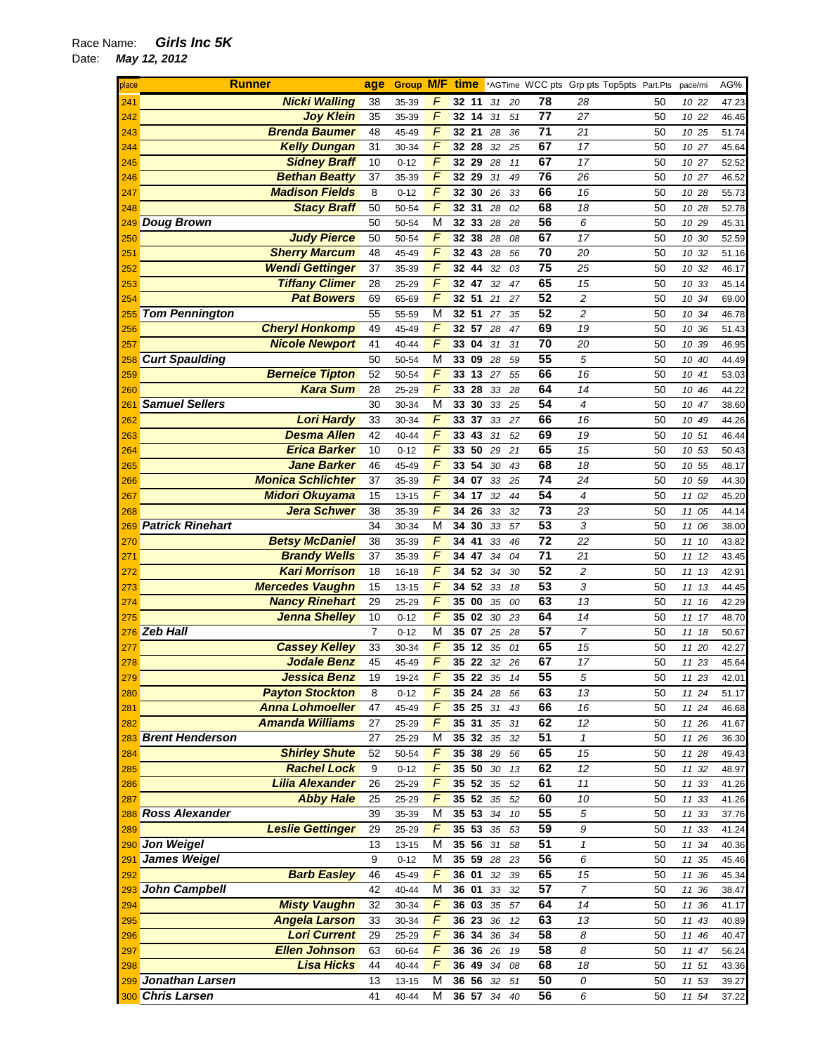| place                    | <b>Runner</b>                             | age | <b>Group M/F</b> |                              |                        |    |        |    |                 | <b>time</b> *AGTime WCC pts Grp pts Top5pts Part.Pts |    | pace/mi  | AG%   |
|--------------------------|-------------------------------------------|-----|------------------|------------------------------|------------------------|----|--------|----|-----------------|------------------------------------------------------|----|----------|-------|
| 241                      | <b>Nicki Walling</b>                      | 38  | 35-39            | F                            | 32 11                  |    | 31     | 20 | 78              | 28                                                   | 50 | 10 22    | 47.23 |
| 242                      | <b>Joy Klein</b>                          | 35  | 35-39            | $\sqrt{2}$                   | 32 14                  |    | 31     | 51 | 77              | 27                                                   | 50 | 10 22    | 46.46 |
| 243                      | <b>Brenda Baumer</b>                      | 48  | 45-49            | $\overline{F}$               | 32 21                  |    | 28     | 36 | $\overline{71}$ | 21                                                   | 50 | 10 25    | 51.74 |
| 244                      | <b>Kelly Dungan</b>                       | 31  | 30-34            | $\sqrt{ }$                   | 32 28                  |    | 32     | 25 | 67              | 17                                                   | 50 | 10 27    | 45.64 |
| 245                      | <b>Sidney Braff</b>                       | 10  | $0 - 12$         | F                            | 32 29                  |    | 28     | 11 | 67              | 17                                                   | 50 | 10 27    | 52.52 |
| 246                      | <b>Bethan Beatty</b>                      | 37  | 35-39            | F                            | 32 29                  |    | 31     | 49 | 76              | 26                                                   | 50 | 10 27    | 46.52 |
| 247                      | <b>Madison Fields</b>                     | 8   | $0 - 12$         | $\sqrt{ }$                   | 32 30                  |    | 26     | 33 | 66              | 16                                                   | 50 | 10 28    | 55.73 |
| 248                      | <b>Stacy Braff</b>                        | 50  | 50-54            | $\overline{F}$               | 32 31                  |    | 28     | 02 | 68              | 18                                                   | 50 | 10 28    | 52.78 |
|                          | 249 Doug Brown                            | 50  | 50-54            | $\overline{\mathsf{M}}$      | $\overline{32}$ 33     |    | 28     | 28 | 56              | 6                                                    | 50 | 10 29    | 45.31 |
| 250                      | <b>Judy Pierce</b>                        | 50  | 50-54            | $\sqrt{ }$                   | 32 38                  |    | 28     | 08 | 67              | 17                                                   | 50 | 10 30    | 52.59 |
| 251                      | <b>Sherry Marcum</b>                      | 48  | 45-49            | $\sqrt{2}$                   | 32 43                  |    | 28     | 56 | 70              | 20                                                   | 50 | 10<br>32 | 51.16 |
| 252                      | <b>Wendi Gettinger</b>                    | 37  | 35-39            | $\overline{F}$               | 32 44                  |    | 32     | 03 | 75              | 25                                                   | 50 | 10 32    | 46.17 |
| 253                      | <b>Tiffany Climer</b>                     | 28  | 25-29            | $\overline{F}$               | 32 47                  |    | 32     | 47 | 65              | 15                                                   | 50 | 10 33    | 45.14 |
| 254                      | <b>Pat Bowers</b>                         | 69  | 65-69            | $\sqrt{ }$                   | 32 51                  |    | 21     | 27 | 52              | 2                                                    | 50 | 10 34    | 69.00 |
| 255                      | <b>Tom Pennington</b>                     | 55  | 55-59            | M                            | 32 51                  |    | 27     | 35 | 52              | 2                                                    | 50 | 10<br>34 | 46.78 |
| 256                      | <b>Cheryl Honkomp</b>                     | 49  | 45-49            | F                            | 32 57                  |    | 28     | 47 | 69              | 19                                                   | 50 | 10 36    | 51.43 |
| 257                      | <b>Nicole Newport</b>                     | 41  | 40-44            | F                            | 33 04                  |    | 31     | 31 | 70              | 20                                                   | 50 | 10 39    | 46.95 |
| 258                      | <b>Curt Spaulding</b>                     | 50  | 50-54            | M                            | 33 09                  |    | 28     | 59 | 55              | 5                                                    | 50 | 10 40    | 44.49 |
| 259                      | <b>Berneice Tipton</b>                    | 52  | 50-54            | F                            | 33 13                  |    | 27     | 55 | 66              | 16                                                   | 50 | 10 41    | 53.03 |
| 260                      | <b>Kara Sum</b>                           | 28  | 25-29            | $\sqrt{ }$                   | 33<br>28               |    | 33     | 28 | 64              | 14                                                   | 50 | 10 46    | 44.22 |
| 261                      | <b>Samuel Sellers</b>                     | 30  | 30-34            | M                            | 33 30                  |    | 33     | 25 | 54              | 4                                                    | 50 | 10 47    | 38.60 |
| 262                      | <b>Lori Hardy</b>                         | 33  | 30-34            | $\sqrt{2}$                   | 33 37                  |    | 33     | 27 | 66              | 16                                                   | 50 | 10 49    | 44.26 |
|                          | <b>Desma Allen</b>                        | 42  | 40-44            | $\overline{F}$               | 33 43                  |    | 31     | 52 | 69              | 19                                                   | 50 |          |       |
| 263                      | <b>Erica Barker</b>                       | 10  | $0 - 12$         | F                            | 33 50                  |    | 29     | 21 | 65              | 15                                                   | 50 | 10 51    | 46.44 |
| 264                      | <b>Jane Barker</b>                        | 46  | 45-49            | F                            | 33                     | 54 | 30     |    | 68              | 18                                                   | 50 | 10 53    | 50.43 |
| 265                      | <b>Monica Schlichter</b>                  | 37  |                  | F                            | 07<br>34               |    |        | 43 | 74              | 24                                                   | 50 | 10 55    | 48.17 |
| 266                      |                                           |     | 35-39            | F                            | 34 17                  |    | 33     | 25 | 54              |                                                      |    | 10 59    | 44.30 |
| 267                      | <b>Midori Okuyama</b>                     | 15  | 13-15            | F                            |                        |    | 32     | 44 | 73              | 4<br>23                                              | 50 | 11 02    | 45.20 |
| 268                      | <b>Jera Schwer</b>                        | 38  | 35-39            |                              | 26<br>34               |    | 33     | 32 | 53              |                                                      | 50 | 11 05    | 44.14 |
| 269                      | <b>Patrick Rinehart</b>                   | 34  | 30-34            | M<br>$\sqrt{ }$              | 34 30                  |    | 33     | 57 | $\overline{72}$ | 3                                                    | 50 | 11<br>06 | 38.00 |
| 270                      | <b>Betsy McDaniel</b>                     | 38  | 35-39            | $\overline{F}$               | 34<br>41               |    | 33     | 46 |                 | 22                                                   | 50 | 11<br>10 | 43.82 |
| 271                      | <b>Brandy Wells</b>                       | 37  | 35-39            |                              | 34                     | 47 | 34     | 04 | 71              | 21                                                   | 50 | 11 12    | 43.45 |
| 272                      | <b>Kari Morrison</b>                      | 18  | $16 - 18$        | $\sqrt{2}$<br>$\overline{F}$ | 34 52                  |    | 34     | 30 | 52              | $\overline{c}$                                       | 50 | 11 13    | 42.91 |
| 273                      | <b>Mercedes Vaughn</b>                    | 15  | $13 - 15$        |                              | 34                     | 52 | 33     | 18 | 53              | 3                                                    | 50 | 11 13    | 44.45 |
| 274                      | <b>Nancy Rinehart</b>                     | 29  | 25-29            | $\sqrt{2}$                   | 00<br>35               |    | 35     | 00 | 63              | 13                                                   | 50 | 11<br>16 | 42.29 |
| 275                      | <b>Jenna Shelley</b>                      | 10  | $0 - 12$         | F                            | 35 02                  |    | 30     | 23 | 64              | 14                                                   | 50 | 11<br>17 | 48.70 |
|                          | 276 Zeb Hall                              | 7   | $0 - 12$         | М                            | 35 07                  |    | 25     | 28 | 57              | $\overline{7}$                                       | 50 | 11 18    | 50.67 |
| 277                      | <b>Cassey Kelley</b>                      | 33  | 30-34            | $\sqrt{ }$<br>$\overline{F}$ | 35<br>12               |    | 35     | 01 | 65              | 15                                                   | 50 | 11 20    | 42.27 |
| 278                      | <b>Jodale Benz</b>                        | 45  | 45-49            |                              | 35 22                  |    | 32     | 26 | 67<br>55        | 17                                                   | 50 | 11 23    | 45.64 |
| 279<br>280<br>281<br>282 | Jessica Benz                              | 19  | 19-24            | $\overline{F}$               | $35$ 22 35             |    |        | 14 |                 | 5                                                    | 50 | 11 23    | 42.01 |
|                          | <b>Payton Stockton</b>                    | 8   | $0 - 12$         | F                            | 35 24 28               |    |        | 56 | 63              | 13                                                   | 50 | 11 24    | 51.17 |
|                          | <b>Anna Lohmoeller</b>                    | 47  | 45-49            | F                            | 35 25                  |    | 31     | 43 | 66              | 16                                                   | 50 | 11 24    | 46.68 |
| I                        | <b>Amanda Williams</b>                    | 27  | 25-29            | F                            | 35 31                  |    | 35     | 31 | 62              | 12                                                   | 50 | 11 26    | 41.67 |
|                          | 283 Brent Henderson                       | 27  | 25-29            | M                            | 35 32 35               |    |        | 32 | 51              | $\mathbf{1}$                                         | 50 | 11 26    | 36.30 |
| 284                      | <b>Shirley Shute</b>                      | 52  | 50-54            | F                            | 35 38 29               |    |        | 56 | 65              | 15                                                   | 50 | 11 28    | 49.43 |
| 285                      | <b>Rachel Lock</b>                        | 9   | $0 - 12$         | F                            | 35 50                  |    | $30\,$ | 13 | 62              | 12                                                   | 50 | 11<br>32 | 48.97 |
| 286                      | <b>Lilia Alexander</b>                    | 26  | 25-29            | F                            | 35 52                  |    | 35     | 52 | 61              | 11                                                   | 50 | 11 33    | 41.26 |
| 287                      | <b>Abby Hale</b>                          | 25  | 25-29            | F                            | 35 52 35               |    |        | 52 | 60<br>55        | 10                                                   | 50 | 11 33    | 41.26 |
| 288                      | <b>Ross Alexander</b>                     | 39  | 35-39            | M                            | 35 53 34               |    |        | 10 | 59              | 5                                                    | 50 | 11 33    | 37.76 |
| 289                      | <b>Leslie Gettinger</b><br>290 Jon Weigel | 29  | 25-29            | $\sqrt{2}$<br>M              | 35 53 35<br>$35\;\;56$ |    |        | 53 | 51              | 9<br>$\boldsymbol{\mathcal{I}}$                      | 50 | 11 33    | 41.24 |
|                          | James Weigel                              | 13  | 13-15            |                              |                        |    | 31     | 58 | 56              |                                                      | 50 | 11 34    | 40.36 |
| 291                      |                                           | 9   | $0 - 12$         | M<br>F                       | 35 59                  |    | 28     | 23 | 65              | 6                                                    | 50 | 11 35    | 45.46 |
| 292                      | <b>Barb Easley</b><br>John Campbell       | 46  | 45-49            |                              | 36 01                  |    | 32     | 39 | 57              | 15<br>$\overline{7}$                                 | 50 | 11 36    | 45.34 |
| 293                      |                                           | 42  | 40-44            | M                            | 36 01                  |    | 33     | 32 |                 |                                                      | 50 | 11 36    | 38.47 |
| 294                      | <b>Misty Vaughn</b>                       | 32  | 30-34            | F                            | 36 03                  |    | 35     | 57 | 64              | 14                                                   | 50 | 11 36    | 41.17 |
| 295                      | <b>Angela Larson</b>                      | 33  | 30-34            | F                            | 36 23                  |    | 36     | 12 | 63              | 13                                                   | 50 | 11<br>43 | 40.89 |
| 296                      | <b>Lori Current</b>                       | 29  | 25-29            | F                            | 36 34                  |    | 36     | 34 | 58              | 8                                                    | 50 | 11 46    | 40.47 |
| 297                      | <b>Ellen Johnson</b>                      | 63  | 60-64            | F                            | 36 36 26               |    |        | 19 | 58              | 8                                                    | 50 | 11 47    | 56.24 |
| 298                      | <b>Lisa Hicks</b>                         | 44  | 40-44            | F                            | 36 49 34               |    |        | 08 | 68              | 18                                                   | 50 | 11 51    | 43.36 |
|                          | 299 Jonathan Larsen                       | 13  | 13-15            | M                            | 36 56                  |    | 32     | 51 | 50              | 0                                                    | 50 | 11 53    | 39.27 |
|                          | 300 Chris Larsen                          | 41  | 40-44            | M                            | 36 57                  |    | 34     | 40 | 56              | 6                                                    | 50 | 11 54    | 37.22 |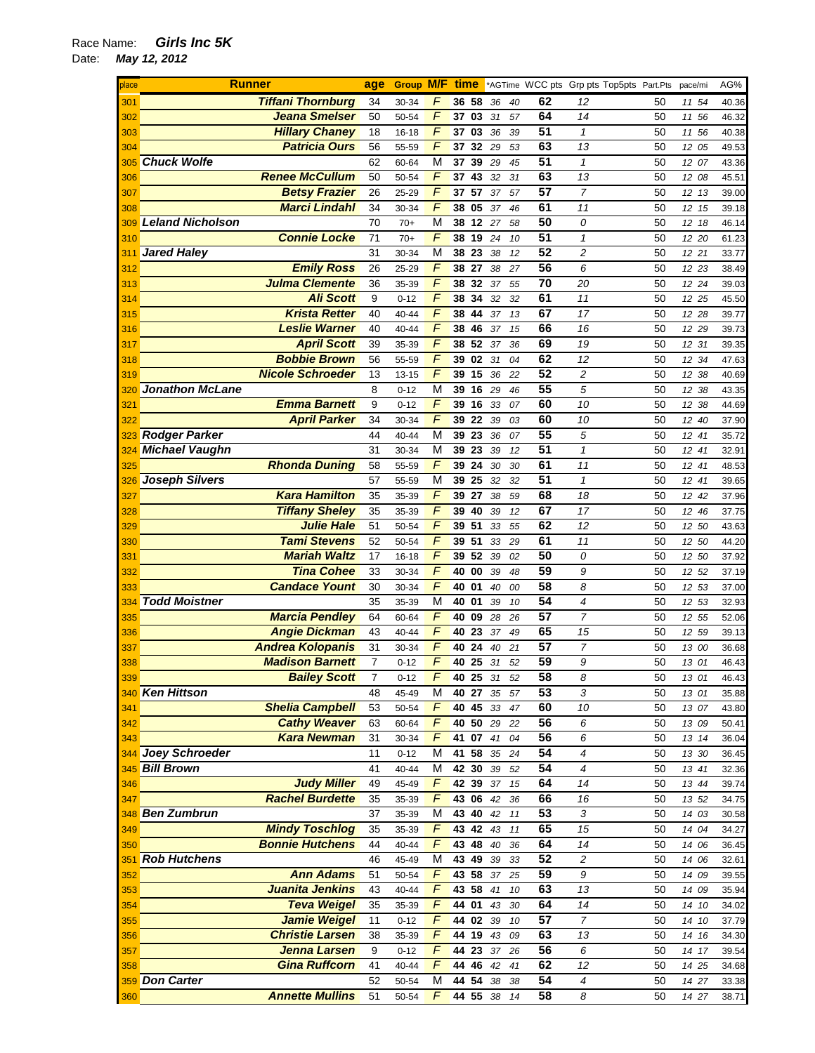| place | <b>Runner</b>            | age            | <b>Group M/F time</b> |                |          |    |    |    |                 | *AGTime WCC pts Grp pts Top5pts Part.Pts |    | pace/mi | AG%   |
|-------|--------------------------|----------------|-----------------------|----------------|----------|----|----|----|-----------------|------------------------------------------|----|---------|-------|
| 301   | <b>Tiffani Thornburg</b> | 34             | 30-34                 | F              | 36 58    |    | 36 | 40 | 62              | 12                                       | 50 | 11 54   | 40.36 |
| 302   | Jeana Smelser            | 50             | 50-54                 | $\sqrt{2}$     | 37 03    |    | 31 | 57 | 64              | 14                                       | 50 | 11 56   | 46.32 |
| 303   | <b>Hillary Chaney</b>    | 18             | 16-18                 | $\overline{F}$ | 37 03    |    | 36 | 39 | 51              | $\mathbf{1}$                             | 50 | 11 56   | 40.38 |
| 304   | <b>Patricia Ours</b>     | 56             | 55-59                 | $\sqrt{ }$     | 37       | 32 | 29 | 53 | 63              | 13                                       | 50 | 12 05   | 49.53 |
| 305   | <b>Chuck Wolfe</b>       | 62             | 60-64                 | М              | 37       | 39 | 29 | 45 | 51              | $\mathbf{1}$                             | 50 | 12 07   | 43.36 |
| 306   | <b>Renee McCullum</b>    | 50             | 50-54                 | F              | 37       | 43 | 32 | 31 | 63              | 13                                       | 50 | 12 08   | 45.51 |
| 307   | <b>Betsy Frazier</b>     | 26             | 25-29                 | F              | 37 57    |    | 37 | 57 | 57              | $\overline{7}$                           | 50 | 12 13   | 39.00 |
| 308   | <b>Marci Lindahl</b>     | 34             | 30-34                 | $\sqrt{ }$     | 38 05    |    | 37 | 46 | 61              | 11                                       | 50 | 12 15   | 39.18 |
| 309   | <b>Leland Nicholson</b>  | 70             | $70+$                 | M              | 38 12 27 |    |    | 58 | 50              | 0                                        | 50 | 12 18   | 46.14 |
| 310   | <b>Connie Locke</b>      | 71             | $70+$                 | F              | 38       | 19 | 24 | 10 | 51              | $\mathbf{1}$                             | 50 | 12 20   |       |
|       |                          | 31             |                       | M              | 38       | 23 |    |    | 52              | $\overline{c}$                           |    |         | 61.23 |
| 311   | <b>Jared Haley</b>       |                | 30-34                 | $\sqrt{ }$     |          |    | 38 | 12 | 56              |                                          | 50 | 12 21   | 33.77 |
| 312   | <b>Emily Ross</b>        | 26             | 25-29                 |                | 38       | 27 | 38 | 27 |                 | 6                                        | 50 | 12 23   | 38.49 |
| 313   | <b>Julma Clemente</b>    | 36             | 35-39                 | $\sqrt{ }$     | 38       | 32 | 37 | 55 | 70              | 20                                       | 50 | 12 24   | 39.03 |
| 314   | <b>Ali Scott</b>         | $9\,$          | $0 - 12$              | $\sqrt{ }$     | 38 34    |    | 32 | 32 | 61              | 11                                       | 50 | 12 25   | 45.50 |
| 315   | <b>Krista Retter</b>     | 40             | 40-44                 | $\overline{F}$ | 38       | 44 | 37 | 13 | 67              | 17                                       | 50 | 12 28   | 39.77 |
| 316   | <b>Leslie Warner</b>     | 40             | 40-44                 | $\sqrt{ }$     | 38       | 46 | 37 | 15 | 66              | 16                                       | 50 | 12 29   | 39.73 |
| 317   | <b>April Scott</b>       | 39             | 35-39                 | F              | 38 52    |    | 37 | 36 | 69              | 19                                       | 50 | 12 31   | 39.35 |
| 318   | <b>Bobbie Brown</b>      | 56             | 55-59                 | $\sqrt{ }$     | 39       | 02 | 31 | 04 | 62              | 12                                       | 50 | 12 34   | 47.63 |
| 319   | <b>Nicole Schroeder</b>  | 13             | $13 - 15$             | F              | 39 15    |    | 36 | 22 | $\overline{52}$ | 2                                        | 50 | 12 38   | 40.69 |
| 320   | <b>Jonathon McLane</b>   | 8              | $0 - 12$              | M              | 39 16    |    | 29 | 46 | 55              | 5                                        | 50 | 12 38   | 43.35 |
| 321   | <b>Emma Barnett</b>      | 9              | $0 - 12$              | $\overline{F}$ | 39       | 16 | 33 | 07 | 60              | 10                                       | 50 | 12 38   | 44.69 |
| 322   | <b>April Parker</b>      | 34             | 30-34                 | $\sqrt{ }$     | 39       | 22 | 39 | 03 | 60              | 10                                       | 50 | 12 40   | 37.90 |
| 323   | <b>Rodger Parker</b>     | 44             | 40-44                 | M              | 39       | 23 | 36 | 07 | 55              | 5                                        | 50 | 12 41   | 35.72 |
| 324   | <b>Michael Vaughn</b>    | 31             | 30-34                 | M              | 39 23    |    | 39 | 12 | 51              | $\mathbf{1}$                             | 50 | 12 41   | 32.91 |
| 325   | <b>Rhonda Duning</b>     | 58             | 55-59                 | $\sqrt{ }$     | 39       | 24 | 30 | 30 | 61              | 11                                       | 50 | 12 41   | 48.53 |
| 326   | <b>Joseph Silvers</b>    | 57             | 55-59                 | M              | 39       | 25 | 32 | 32 | 51              | $\mathbf{1}$                             | 50 | 12 41   | 39.65 |
| 327   | <b>Kara Hamilton</b>     | 35             | 35-39                 | $\overline{F}$ | 39       | 27 | 38 | 59 | 68              | 18                                       | 50 | 12 42   | 37.96 |
| 328   | <b>Tiffany Sheley</b>    | 35             | 35-39                 | F              | 39       | 40 | 39 | 12 | 67              | 17                                       | 50 | 12 46   | 37.75 |
| 329   | <b>Julie Hale</b>        | 51             | 50-54                 | $\sqrt{2}$     | 39 51    |    | 33 | 55 | 62              | 12                                       | 50 | 12 50   | 43.63 |
| 330   | <b>Tami Stevens</b>      | 52             | 50-54                 | $\sqrt{ }$     | 39 51    |    | 33 | 29 | 61              | 11                                       | 50 | 12 50   | 44.20 |
| 331   | <b>Mariah Waltz</b>      | 17             | 16-18                 | $\overline{F}$ | 39       | 52 | 39 | 02 | 50              | 0                                        | 50 | 12 50   | 37.92 |
| 332   | <b>Tina Cohee</b>        | 33             | 30-34                 | $\sqrt{ }$     | 40       | 00 | 39 | 48 | 59              | 9                                        | 50 | 12 52   | 37.19 |
| 333   | <b>Candace Yount</b>     | 30             | 30-34                 | $\sqrt{ }$     | 40       | 01 | 40 | 00 | 58              | 8                                        | 50 | 12 53   | 37.00 |
| 334   | <b>Todd Moistner</b>     | 35             | 35-39                 | M              | 40 01    |    | 39 | 10 | 54              | $\overline{4}$                           | 50 | 12 53   | 32.93 |
|       | <b>Marcia Pendley</b>    | 64             | 60-64                 | $\sqrt{ }$     | 40       | 09 | 28 | 26 | 57              | $\overline{7}$                           | 50 | 12 55   | 52.06 |
| 335   | <b>Angie Dickman</b>     | 43             | 40-44                 | F              | 40       | 23 | 37 | 49 | 65              | 15                                       | 50 | 12 59   | 39.13 |
| 336   | <b>Andrea Kolopanis</b>  | 31             |                       | F              |          | 24 |    |    | 57              | 7                                        |    |         |       |
| 337   | <b>Madison Barnett</b>   | $\overline{7}$ | 30-34                 | F              | 40       |    | 40 | 21 | 59              | 9                                        | 50 | 13 00   | 36.68 |
| 338   |                          |                | $0 - 12$              | $\overline{F}$ | 40 25    |    | 31 | 52 | 58              |                                          | 50 | 13 01   | 46.43 |
| 339   | <b>Bailey Scott</b>      | 7              | $0 - 12$              |                | 40 25    |    | 31 | 52 |                 | 8                                        | 50 | 13 01   | 46.43 |
|       | 340 Ken Hittson          | 48             | 45-49                 | М              | 40 27    |    | 35 | 57 | 53              | 3                                        | 50 | 13 01   | 35.88 |
| 341   | <b>Shelia Campbell</b>   | 53             | 50-54                 | $\overline{F}$ | 40 45    |    | 33 | 47 | 60              | 10                                       | 50 | 13 07   | 43.80 |
| 342   | <b>Cathy Weaver</b>      | 63             | 60-64                 | $\sqrt{2}$     | 40 50    |    | 29 | 22 | 56              | 6                                        | 50 | 13 09   | 50.41 |
| 343   | <b>Kara Newman</b>       | 31             | 30-34                 | F              | 41 07    |    | 41 | 04 | 56              | 6                                        | 50 | 13 14   | 36.04 |
|       | 344 Joey Schroeder       | 11             | $0 - 12$              | М              | 41 58    |    | 35 | 24 | 54              | 4                                        | 50 | 13 30   | 36.45 |
|       | 345 Bill Brown           | 41             | 40-44                 | М              | 42 30    |    | 39 | 52 | 54              | $\overline{4}$                           | 50 | 13 41   | 32.36 |
| 346   | <b>Judy Miller</b>       | 49             | 45-49                 | F              | 42 39    |    | 37 | 15 | 64              | 14                                       | 50 | 13 44   | 39.74 |
| 347   | <b>Rachel Burdette</b>   | 35             | 35-39                 | F              | 43 06    |    | 42 | 36 | 66              | 16                                       | 50 | 13 52   | 34.75 |
|       | 348 Ben Zumbrun          | 37             | 35-39                 | M              | 43 40    |    | 42 | 11 | 53              | $\sqrt{3}$                               | 50 | 14 03   | 30.58 |
| 349   | <b>Mindy Toschlog</b>    | 35             | 35-39                 | F              | 43 42    |    | 43 | 11 | 65              | 15                                       | 50 | 14 04   | 34.27 |
| 350   | <b>Bonnie Hutchens</b>   | 44             | 40-44                 | F              | 43 48    |    | 40 | 36 | 64              | 14                                       | 50 | 14 06   | 36.45 |
|       | 351 Rob Hutchens         | 46             | 45-49                 | M              | 43 49    |    | 39 | 33 | 52              | $\overline{c}$                           | 50 | 14 06   | 32.61 |
| 352   | <b>Ann Adams</b>         | 51             | 50-54                 | F              | 43 58    |    | 37 | 25 | 59              | 9                                        | 50 | 14 09   | 39.55 |
| 353   | Juanita Jenkins          | 43             | 40-44                 | $\sqrt{2}$     | 43 58    |    | 41 | 10 | 63              | 13                                       | 50 | 14 09   | 35.94 |
| 354   | <b>Teva Weigel</b>       | 35             | 35-39                 | $\overline{F}$ | 44 01    |    | 43 | 30 | 64              | 14                                       | 50 | 14 10   | 34.02 |
| 355   | <b>Jamie Weigel</b>      | 11             | $0 - 12$              | F              | 44 02 39 |    |    | 10 | 57              | $\overline{7}$                           | 50 | 14 10   | 37.79 |
| 356   | <b>Christie Larsen</b>   | 38             | 35-39                 | F              | 44 19    |    | 43 | 09 | 63              | 13                                       | 50 | 14 16   | 34.30 |
| 357   | Jenna Larsen             | 9              | $0 - 12$              | F              | 44 23    |    | 37 | 26 | 56              | 6                                        | 50 | 14 17   | 39.54 |
| 358   | <b>Gina Ruffcorn</b>     | 41             | 40-44                 | F              | 44 46 42 |    |    | 41 | 62              | 12                                       | 50 | 14 25   | 34.68 |
|       | 359 Don Carter           | 52             | 50-54                 | М              | 44 54 38 |    |    | 38 | 54              | 4                                        | 50 | 14 27   | 33.38 |
| 360   | <b>Annette Mullins</b>   | 51             | 50-54                 | F              | 44 55 38 |    |    | 14 | 58              | 8                                        | 50 | 14 27   | 38.71 |
|       |                          |                |                       |                |          |    |    |    |                 |                                          |    |         |       |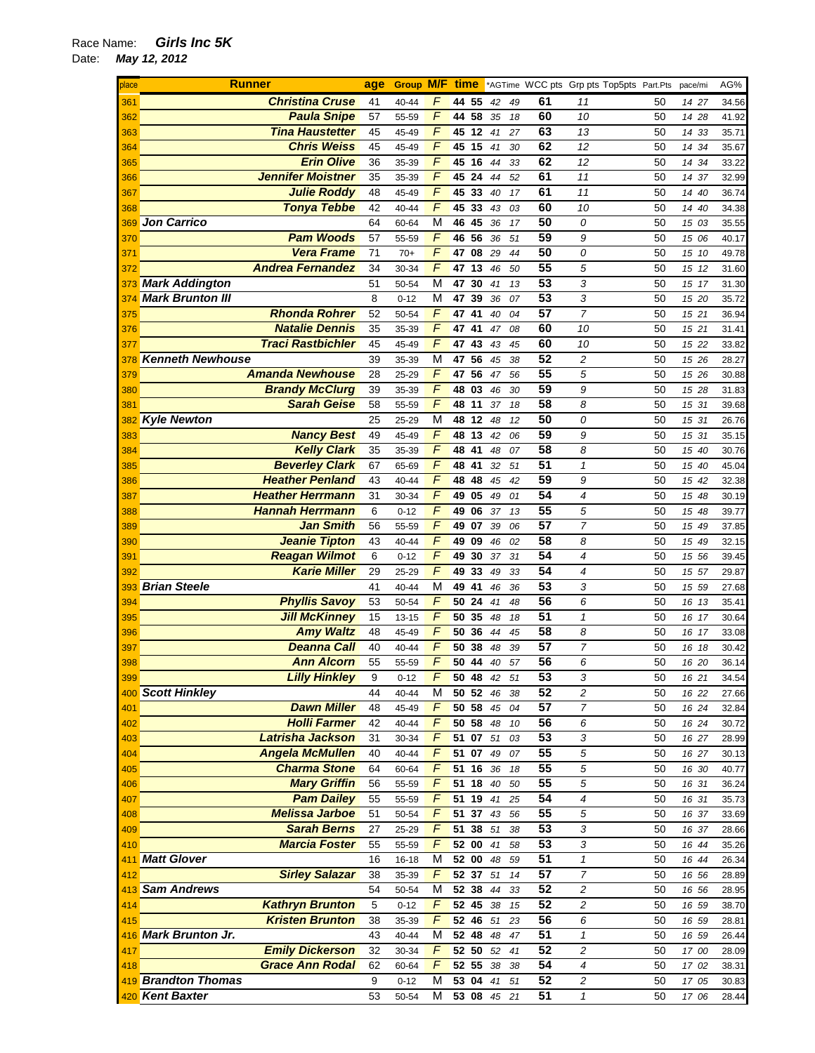| place                                  | <b>Runner</b>            | age        |           |                |                         |    |    |    |    | Group M/F time *AGTime WCC pts Grp pts Top5pts Part.Pts pace/mi |    |       | AG%   |
|----------------------------------------|--------------------------|------------|-----------|----------------|-------------------------|----|----|----|----|-----------------------------------------------------------------|----|-------|-------|
| 361                                    | <b>Christina Cruse</b>   | 41         | 40-44     | F              | 44 55                   |    | 42 | 49 | 61 | 11                                                              | 50 | 14 27 | 34.56 |
| 362                                    | <b>Paula Snipe</b>       | 57         | 55-59     | $\sqrt{2}$     | 44 58                   |    | 35 | 18 | 60 | 10                                                              | 50 | 14 28 | 41.92 |
| 363                                    | <b>Tina Haustetter</b>   | 45         | 45-49     | $\overline{F}$ | 45 12                   |    | 41 | 27 | 63 | 13                                                              | 50 | 14 33 | 35.71 |
| 364                                    | <b>Chris Weiss</b>       | 45         | 45-49     | $\sqrt{2}$     | 45 15                   |    | 41 | 30 | 62 | 12                                                              | 50 | 14 34 | 35.67 |
|                                        |                          |            |           | $\sqrt{2}$     |                         |    |    |    |    |                                                                 |    |       |       |
| 365                                    | <b>Erin Olive</b>        | 36         | 35-39     |                | 45 16                   |    | 44 | 33 | 62 | 12                                                              | 50 | 14 34 | 33.22 |
| 366                                    | <b>Jennifer Moistner</b> | 35         | 35-39     | F              | 45 24                   |    | 44 | 52 | 61 | 11                                                              | 50 | 14 37 | 32.99 |
| 367                                    | <b>Julie Roddy</b>       | 48         | 45-49     | F              | 45 33                   |    | 40 | 17 | 61 | 11                                                              | 50 | 14 40 | 36.74 |
| 368                                    | <b>Tonya Tebbe</b>       | 42         | 40-44     | F              | 45 33                   |    | 43 | 03 | 60 | 10                                                              | 50 | 14 40 | 34.38 |
| 369                                    | Jon Carrico              | 64         | 60-64     | M              | 46 45                   |    | 36 | 17 | 50 | 0                                                               | 50 | 15 03 | 35.55 |
| 370                                    | <b>Pam Woods</b>         | 57         | 55-59     | $\sqrt{2}$     | 46 56                   |    | 36 | 51 | 59 | 9                                                               | 50 | 15 06 | 40.17 |
| 371                                    | <b>Vera Frame</b>        | 71         | $70+$     | $\overline{F}$ | 47                      | 08 | 29 | 44 | 50 | 0                                                               | 50 | 15 10 | 49.78 |
| 372                                    | <b>Andrea Fernandez</b>  | 34         | 30-34     | $\sqrt{2}$     | 47 13                   |    | 46 | 50 | 55 | 5                                                               | 50 | 15 12 | 31.60 |
|                                        | <b>Mark Addington</b>    | 51         |           | M              | 47 30                   |    | 41 | 13 | 53 | 3                                                               | 50 |       |       |
| 373                                    |                          |            | 50-54     |                |                         |    |    |    |    |                                                                 |    | 15 17 | 31.30 |
| 374                                    | <b>Mark Brunton III</b>  | 8          | $0 - 12$  | М              | 47 39                   |    | 36 | 07 | 53 | 3                                                               | 50 | 15 20 | 35.72 |
| 375                                    | <b>Rhonda Rohrer</b>     | 52         | 50-54     | $\sqrt{2}$     | 47                      | 41 | 40 | 04 | 57 | $\overline{7}$                                                  | 50 | 15 21 | 36.94 |
| 376                                    | <b>Natalie Dennis</b>    | 35         | 35-39     | F              | 47 41                   |    | 47 | 08 | 60 | 10                                                              | 50 | 15 21 | 31.41 |
| 377                                    | <b>Traci Rastbichler</b> | 45         | 45-49     | F              | 4743                    |    | 43 | 45 | 60 | 10                                                              | 50 | 15 22 | 33.82 |
| 378                                    | <b>Kenneth Newhouse</b>  | 39         | 35-39     | M              | 47 56                   |    | 45 | 38 | 52 | $\overline{c}$                                                  | 50 | 15 26 | 28.27 |
| 379                                    | <b>Amanda Newhouse</b>   | 28         | 25-29     | F              | 47 56                   |    | 47 | 56 | 55 | 5                                                               | 50 | 15 26 | 30.88 |
| 380                                    | <b>Brandy McClurg</b>    | 39         | 35-39     | F              | 48 03                   |    | 46 | 30 | 59 | 9                                                               | 50 | 15 28 | 31.83 |
| 381                                    | <b>Sarah Geise</b>       | 58         | 55-59     | $\overline{F}$ | 48                      | 11 | 37 | 18 | 58 | 8                                                               | 50 | 15 31 | 39.68 |
|                                        |                          |            |           |                |                         |    |    |    |    |                                                                 |    |       |       |
|                                        | 382 Kyle Newton          | 25         | 25-29     | M              | 48 12                   |    | 48 | 12 | 50 | 0                                                               | 50 | 15 31 | 26.76 |
| 383                                    | <b>Nancy Best</b>        | 49         | 45-49     | $\sqrt{2}$     | 48 13                   |    | 42 | 06 | 59 | 9                                                               | 50 | 15 31 | 35.15 |
| 384                                    | <b>Kelly Clark</b>       | 35         | 35-39     | $\sqrt{2}$     | 48 41                   |    | 48 | 07 | 58 | 8                                                               | 50 | 15 40 | 30.76 |
| 385                                    | <b>Beverley Clark</b>    | 67         | 65-69     | $\sqrt{2}$     | 48                      | 41 | 32 | 51 | 51 | $\mathbf{1}$                                                    | 50 | 15 40 | 45.04 |
| 386                                    | <b>Heather Penland</b>   | 43         | 40-44     | F              | 48                      | 48 | 45 | 42 | 59 | 9                                                               | 50 | 15 42 | 32.38 |
| 387                                    | <b>Heather Herrmann</b>  | 31         | 30-34     | $\sqrt{2}$     | 49                      | 05 | 49 | 01 | 54 | $\overline{4}$                                                  | 50 | 15 48 | 30.19 |
| 388                                    | <b>Hannah Herrmann</b>   | 6          | $0 - 12$  | $\sqrt{2}$     | 49                      | 06 | 37 | 13 | 55 | 5                                                               | 50 | 15 48 | 39.77 |
| 389                                    | <b>Jan Smith</b>         | 56         | 55-59     | F              | 49 07                   |    | 39 | 06 | 57 | $\overline{7}$                                                  | 50 | 15 49 | 37.85 |
|                                        | <b>Jeanie Tipton</b>     | 43         |           | F              | 49 09                   |    |    |    | 58 | 8                                                               | 50 |       |       |
| 390                                    |                          |            | 40-44     |                |                         |    | 46 | 02 |    |                                                                 |    | 15 49 | 32.15 |
| 391                                    | <b>Reagan Wilmot</b>     | 6          | $0 - 12$  | $\overline{F}$ | 49                      | 30 | 37 | 31 | 54 | $\overline{4}$                                                  | 50 | 15 56 | 39.45 |
| 392                                    | <b>Karie Miller</b>      | 29         | 25-29     | $\sqrt{2}$     | 49                      | 33 | 49 | 33 | 54 | $\overline{4}$                                                  | 50 | 15 57 | 29.87 |
| 393                                    | <b>Brian Steele</b>      | 41         | 40-44     | M              | 49                      | 41 | 46 | 36 | 53 | 3                                                               | 50 | 15 59 | 27.68 |
| 394                                    | <b>Phyllis Savoy</b>     | 53         | 50-54     | $\overline{F}$ | 50 24                   |    | 41 | 48 | 56 | 6                                                               | 50 | 16 13 | 35.41 |
| 395                                    | <b>Jill McKinney</b>     | 15         | $13 - 15$ | $\sqrt{2}$     | 50 35                   |    | 48 | 18 | 51 | $\mathbf{1}$                                                    | 50 | 16 17 | 30.64 |
| 396                                    | <b>Amy Waltz</b>         | 48         | 45-49     | F              | 50 36                   |    | 44 | 45 | 58 | 8                                                               | 50 | 16 17 | 33.08 |
| 397                                    | <b>Deanna Call</b>       | 40         | 40-44     | F              | 50                      | 38 | 48 | 39 | 57 | 7                                                               | 50 | 16 18 | 30.42 |
| 398                                    | <b>Ann Alcorn</b>        | 55         | 55-59     | $\sqrt{2}$     | 50 44                   |    | 40 | 57 | 56 | 6                                                               | 50 | 16 20 | 36.14 |
|                                        | <b>Lilly Hinkley</b>     | 9          |           |                | 50 48 42                |    |    |    | 53 |                                                                 |    |       |       |
|                                        | 399<br>400 Scott Hinkley | 44         | $0 - 12$  | M              |                         |    |    | 51 | 52 | 3<br>$\overline{c}$                                             | 50 | 16 21 | 34.54 |
|                                        |                          |            | 40-44     |                | 50 52 46                |    |    | 38 |    |                                                                 | 50 | 16 22 | 27.66 |
|                                        | <b>Dawn Miller</b>       | 48         | 45-49     | F              | 50 58                   |    | 45 | 04 | 57 | $\overline{7}$                                                  | 50 | 16 24 | 32.84 |
| 401<br>402<br>403<br>404<br>405<br>406 | <b>Holli Farmer</b>      | 42         | 40-44     | F              | 50 58                   |    | 48 | 10 | 56 | 6                                                               | 50 | 16 24 | 30.72 |
|                                        | Latrisha Jackson         | 31         | 30-34     | $\sqrt{2}$     | 51 07 51                |    |    | 03 | 53 | 3                                                               | 50 | 16 27 | 28.99 |
|                                        | <b>Angela McMullen</b>   | 40         | 40-44     | $\sqrt{2}$     | 51 07                   |    | 49 | 07 | 55 | 5                                                               | 50 | 16 27 | 30.13 |
|                                        | <b>Charma Stone</b>      | 64         | 60-64     | F              | 51 16 36                |    |    | 18 | 55 | 5                                                               | 50 | 16 30 | 40.77 |
|                                        | <b>Mary Griffin</b>      | 56         | 55-59     | F              | 51 18 40                |    |    | 50 | 55 | 5                                                               | 50 | 16 31 | 36.24 |
| I<br>407                               | <b>Pam Dailey</b>        | 55         | 55-59     | F              | 51 19 41                |    |    | 25 | 54 | 4                                                               | 50 | 16 31 | 35.73 |
|                                        | <b>Melissa Jarboe</b>    | 51         | 50-54     | F              | 51 37 43                |    |    | 56 | 55 | 5                                                               | 50 | 16 37 | 33.69 |
|                                        |                          |            |           |                |                         |    |    |    | 53 |                                                                 |    |       |       |
| 408<br>409<br>410<br>411               | <b>Sarah Berns</b>       | 27         | 25-29     | F              | $\overline{51}$ 38 $51$ |    |    | 38 |    | 3                                                               | 50 | 16 37 | 28.66 |
|                                        | <b>Marcia Foster</b>     | 55         | 55-59     | F              | 52 00 41                |    |    | 58 | 53 | 3                                                               | 50 | 16 44 | 35.26 |
|                                        | 411 Matt Glover          | 16         | 16-18     | M              | $52\overline{00}$       |    | 48 | 59 | 51 | $\mathbf{1}$                                                    | 50 | 16 44 | 26.34 |
| 412                                    | <b>Sirley Salazar</b>    | 38         | 35-39     | F              | 52 37 51                |    |    | 14 | 57 | $\overline{7}$                                                  | 50 | 16 56 | 28.89 |
|                                        | 413 Sam Andrews          | 54         | 50-54     | M              | 52 38                   |    | 44 | 33 | 52 | $\overline{c}$                                                  | 50 | 16 56 | 28.95 |
| 414                                    | <b>Kathryn Brunton</b>   | $\sqrt{5}$ | $0 - 12$  | F              | 52 45 38                |    |    | 15 | 52 | $\overline{c}$                                                  | 50 | 16 59 | 38.70 |
| 415                                    | <b>Kristen Brunton</b>   | 38         | 35-39     | F              | 52 46 51                |    |    | 23 | 56 | 6                                                               | 50 | 16 59 | 28.81 |
|                                        | 416 Mark Brunton Jr.     | 43         | 40-44     | M              | 52 48 48                |    |    | 47 | 51 | $\mathbf{1}$                                                    | 50 | 16 59 | 26.44 |
|                                        |                          |            |           |                |                         |    |    |    |    |                                                                 |    |       |       |
| 417                                    | <b>Emily Dickerson</b>   | 32         | 30-34     | F              | 52 50 52                |    |    | 41 | 52 | 2                                                               | 50 | 17 00 | 28.09 |
| 418                                    | <b>Grace Ann Rodal</b>   | 62         | 60-64     | F              | 52 55 38                |    |    | 38 | 54 | 4                                                               | 50 | 17 02 | 38.31 |
|                                        | 419 Brandton Thomas      | 9          | $0 - 12$  | M              | 53 04 41                |    |    | 51 | 52 | 2                                                               | 50 | 17 05 | 30.83 |
|                                        | 420 Kent Baxter          | 53         | 50-54     | M              | 53 08 45 21             |    |    |    | 51 | $\mathbf{1}$                                                    | 50 | 17 06 | 28.44 |